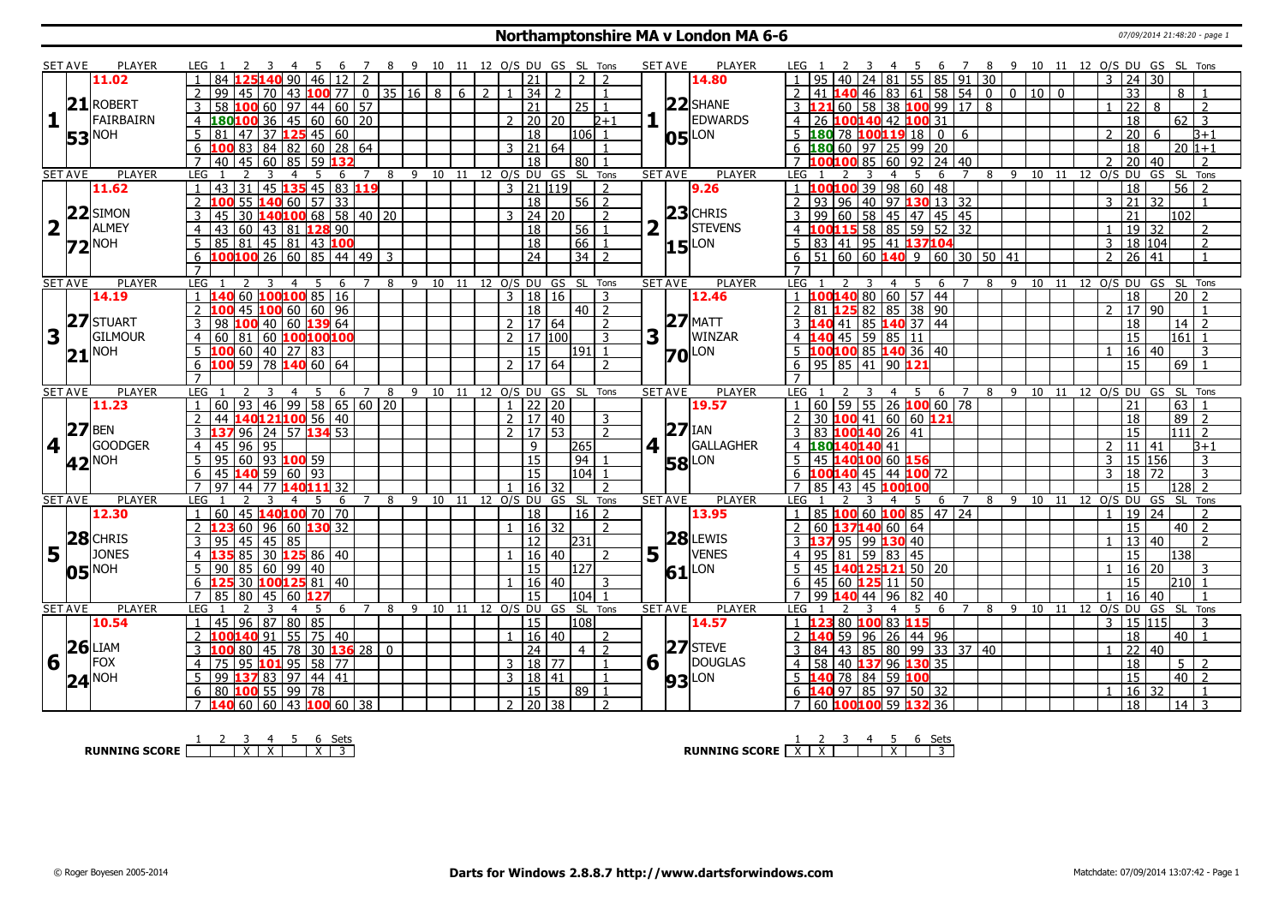#### **Northamptonshire MA v London MA 6-6** 07/09/2014 21:48:20 - page 1

|                         | <b>SET AVE</b>    | <b>PLAYER</b>       |                     | LEG 1                                                                      |                               | -5                       |                   |                | -8                             | 9 10 11 12 O/S DU GS SL Tons |    |   |                |              |                                |                |                         |                |     | <b>SET AVE</b> | PLAYER              | LEG 1               |                                                                             |                              |         | 6                    | $\overline{7}$ |    |      | 8 9 10 11 12 O/S DU GS SL Tons |                    |                                |                       |             |                      |                          |
|-------------------------|-------------------|---------------------|---------------------|----------------------------------------------------------------------------|-------------------------------|--------------------------|-------------------|----------------|--------------------------------|------------------------------|----|---|----------------|--------------|--------------------------------|----------------|-------------------------|----------------|-----|----------------|---------------------|---------------------|-----------------------------------------------------------------------------|------------------------------|---------|----------------------|----------------|----|------|--------------------------------|--------------------|--------------------------------|-----------------------|-------------|----------------------|--------------------------|
|                         |                   | 11.02               |                     |                                                                            |                               | 90.<br>46                |                   |                |                                |                              |    |   |                |              | 21                             |                |                         |                |     |                | 14.80               |                     |                                                                             |                              | 55      | 85                   | $\vert$ 91     | 30 |      |                                |                    | 3                              | 24                    | 30          |                      |                          |
|                         |                   |                     |                     | 99<br>45                                                                   | 70                            | $ 43 $ 100 77 0 35 16 8  |                   |                |                                |                              |    | 6 | $\overline{2}$ |              | 34                             | $\overline{2}$ |                         |                |     |                |                     | 2                   |                                                                             | $46$ 83 61 58 54 0 0 10 10 0 |         |                      |                |    |      |                                |                    |                                | $\overline{33}$       |             | 8                    |                          |
|                         |                   | 21 ROBERT           | 3                   | 58<br>100                                                                  | 60                            | 97                       | 44 60 57          |                |                                |                              |    |   |                |              | 21                             |                | 25 <sub>1</sub>         | $\overline{1}$ |     |                | $22$ SHANE          |                     | $3 \, 121 \, 60$                                                            | 58 38 100 99 17 8            |         |                      |                |    |      |                                |                    | $\mathbf{1}$                   | $\overline{22}$       | 8           |                      | $\overline{\phantom{a}}$ |
| $\mathbf{1}$            |                   | FAIRBAIRN           |                     | $4 \overline{180}100$ 36 45 60 60 20                                       |                               |                          |                   |                |                                |                              |    |   |                |              | $2 \mid 20 \mid 20$            |                |                         | $2+1$          |     |                | <b>EDWARDS</b>      |                     | 4 26 100140 42 100 31                                                       |                              |         |                      |                |    |      |                                |                    |                                | $\overline{18}$       |             | 62<br>$\overline{3}$ |                          |
|                         |                   |                     | 5                   | 81<br>47                                                                   |                               | 37 <b>125</b> 45 60      |                   |                |                                |                              |    |   |                |              | $\overline{18}$                |                | l106l 1                 |                |     |                | LON                 |                     | $5\,$ 180 78 100 119 18 0 6                                                 |                              |         |                      |                |    |      |                                |                    | $\mathcal{P}$                  | $\overline{20}$       | 6           | $B+1$                |                          |
|                         |                   | <b>53</b> NOH       | 6                   | 100 83                                                                     | 84 82 60 28 64                |                          |                   |                |                                |                              |    |   |                |              | 3   21   64                    |                |                         |                |     | 05             |                     |                     | $6 \overline{180} 60 \overline{97} 25 \overline{99} 20$                     |                              |         |                      |                |    |      |                                |                    |                                | $\overline{18}$       |             | $20 1+1$             |                          |
|                         |                   |                     | $\overline{7}$      | 45<br>40                                                                   | 60                            | 85                       | 59 132            |                |                                |                              |    |   |                |              | $\overline{18}$                |                | 80 I                    |                |     |                |                     |                     | <b>7</b> 100100                                                             | 85                           |         | $\sqrt{60}$ 92 24 40 |                |    |      |                                |                    |                                | $\overline{20}$       | 40          |                      | $\mathcal{L}$            |
|                         | <b>SET AVE</b>    | <b>PLAYER</b>       | LEG                 | $\overline{1}$                                                             | -3                            | 5<br>4                   | 6                 | 7              | 8                              | 9 10 11 12 O/S DU GS SL Tons |    |   |                |              |                                |                |                         |                |     | <b>SET AVE</b> | PLAYER              | LEG                 |                                                                             |                              | 4<br>-5 | -6                   | $\overline{7}$ |    |      | 8 9 10 11 12 O/S DU            |                    |                                |                       | GS SL Tons  |                      |                          |
|                         |                   | 11.62               |                     | $\overline{31}$<br>43                                                      |                               | 45 135 45 83 119         |                   |                |                                |                              |    |   |                |              | $3$   21   119                 |                |                         | $\overline{2}$ |     |                | 9.26                |                     | 1 100100                                                                    | 39 98 60 48                  |         |                      |                |    |      |                                |                    |                                | $\overline{18}$       |             | $\overline{56}$      |                          |
|                         |                   |                     | $\overline{2}$      | 55                                                                         | $140$ 60   57   33            |                          |                   |                |                                |                              |    |   |                |              | 18                             |                | $56$   2                |                |     |                |                     | $\overline{2}$   93 | $\sqrt{96}$                                                                 | 40 97 130 13 32              |         |                      |                |    |      |                                |                    | $\overline{3}$                 | 21 32                 |             |                      | $\overline{1}$           |
|                         |                   | $22$ SIMON          |                     | 30<br>45                                                                   |                               | L40100 68   58   40   20 |                   |                |                                |                              |    |   |                | $\mathbf{3}$ | 24 20                          |                |                         | $\overline{2}$ |     |                | $23$ CHRIS          |                     | 99<br>60                                                                    | 58 45 47 45 45               |         |                      |                |    |      |                                |                    |                                | 21                    |             | 102                  |                          |
| $\overline{\mathbf{2}}$ |                   | <b>ALMEY</b>        |                     |                                                                            |                               |                          |                   |                |                                |                              |    |   |                |              |                                |                | 56                      |                |     |                | <b>STEVENS</b>      |                     | 4 100115 58 85 59 52 32                                                     |                              |         |                      |                |    |      |                                |                    |                                |                       |             |                      |                          |
|                         |                   |                     | 4                   | l 60<br>43                                                                 | 43   81   <mark>128</mark> 90 |                          |                   |                |                                |                              |    |   |                |              | 18                             |                |                         |                |     |                |                     |                     |                                                                             |                              |         |                      |                |    |      |                                |                    |                                | 19 32                 |             |                      | 2<br>$\overline{2}$      |
|                         |                   | $72^{ NOH }$        | 5 <sup>1</sup>      | 85 81 45 81 43 100                                                         |                               |                          |                   |                |                                |                              |    |   |                |              | <sup>18</sup>                  |                | 66  <br>$\overline{34}$ | $\overline{2}$ |     |                | $15$ <sup>LON</sup> |                     | 5 83 41 95 41 137104<br>$51$ 60 60 140 9                                    |                              |         |                      |                |    |      |                                |                    | $\mathbf{3}$<br>$\overline{2}$ | 18 104                |             |                      |                          |
|                         |                   |                     | 6<br>$\overline{7}$ | 100100 26 60 <b>1</b>                                                      |                               |                          | 85   44   49   3  |                |                                |                              |    |   |                |              | 24                             |                |                         |                |     |                |                     | 6<br>$\overline{7}$ |                                                                             |                              |         | 60 30 50 41          |                |    |      |                                |                    |                                | $26 \mid 41$          |             |                      | $\mathbf{1}$             |
|                         | <b>SET AVE</b>    | <b>PLAYER</b>       | LEG                 |                                                                            |                               | .5.                      |                   |                | 8                              | 9                            | 10 |   |                |              | 11 12 0/S DU GS SL Tons        |                |                         |                |     | <b>SET AVE</b> | <b>PLAYER</b>       | LEG                 |                                                                             |                              | .5.     |                      |                |    |      |                                | 11 12 O/S DU GS    |                                |                       |             | SL Tons              |                          |
|                         |                   | 14.19               |                     |                                                                            | 60 100100 85 16               |                          | 6                 |                |                                |                              |    |   |                |              | 3   18   16                    |                |                         | $\mathbf{R}$   |     |                | 12.46               |                     | 1 100140 80 60 57 44                                                        |                              |         | 6                    |                | 8  | 9 10 |                                |                    |                                | 18                    |             | $20\overline{2}$     |                          |
|                         |                   |                     | $\overline{2}$      |                                                                            | 45 100 60 60 96               |                          |                   |                |                                |                              |    |   |                |              | $\overline{18}$                |                | $40$   2                |                |     |                |                     | 2                   | 81   125   82   85   38   90                                                |                              |         |                      |                |    |      |                                |                    | $\mathcal{P}$                  | 17 90                 |             |                      |                          |
|                         |                   | 27 STUART           | 3                   | 98                                                                         | $100$ 40 60 139 64            |                          |                   |                |                                |                              |    |   |                |              | 2   17   64                    |                |                         | $\overline{2}$ |     | 27             | <b>MATT</b>         |                     | 3 140 41 85 140 37 44                                                       |                              |         |                      |                |    |      |                                |                    |                                |                       |             | $14$   2             |                          |
| 3                       |                   | GILMOUR             |                     | 60<br>  81                                                                 | 60 100100100                  |                          |                   |                |                                |                              |    |   |                |              | $2 \mid 17 \mid 100 \mid$      |                |                         | $\mathbf{R}$   | 3   |                | WINZAR              |                     | $4 \overline{140} \overline{45} \overline{59} \overline{85} \overline{111}$ |                              |         |                      |                |    |      |                                |                    |                                | 18<br>$\overline{15}$ |             | $\overline{161}$     |                          |
|                         |                   |                     | $\overline{4}$      |                                                                            |                               |                          |                   |                |                                |                              |    |   |                |              |                                |                |                         |                |     |                |                     |                     |                                                                             |                              |         |                      |                |    |      |                                |                    |                                |                       |             |                      |                          |
|                         |                   | $21$ <sup>NOH</sup> |                     | 100 60 40 27 83                                                            |                               |                          |                   |                |                                |                              |    |   |                |              | 15                             |                | 1911                    |                |     | 70             | LON                 |                     | 5 $100100$ 85 140 36 40                                                     |                              |         |                      |                |    |      |                                |                    |                                | 16 40                 |             |                      | 3                        |
|                         |                   |                     | 6                   | 100 59 78 140 60 64                                                        |                               |                          |                   |                |                                |                              |    |   |                |              | $2 \mid 17 \mid 64$            |                |                         |                |     |                |                     |                     | $6 \mid 95 \mid 85 \mid 41 \mid 90$ 121                                     |                              |         |                      |                |    |      |                                |                    |                                | 15                    |             | 69                   |                          |
|                         | <b>SET AVE</b>    | <b>PLAYER</b>       | <b>LEG</b>          |                                                                            |                               |                          | 6                 |                | 8                              |                              |    |   |                |              | 9 10 11 12 0/S DU GS SL        |                |                         | Tons           |     | <b>SET AVE</b> | <b>PLAYER</b>       | <b>LEG</b>          |                                                                             |                              |         | 6                    |                | 8  | - 9  |                                | 10 11 12 0/S DU GS |                                |                       |             | SL Tons              |                          |
|                         |                   | 11.23               |                     | 60<br>93                                                                   | 46                            | 99                       | 58   65   60   20 |                |                                |                              |    |   |                |              | 22 20                          |                |                         |                |     |                | 19.57               |                     | 60   59   55   26   100   60   78                                           |                              |         |                      |                |    |      |                                |                    |                                | 21                    |             | 63                   |                          |
|                         |                   |                     | $\overline{2}$      | 44                                                                         | 140121100 56 40               |                          |                   |                |                                |                              |    |   |                |              | 2   17   40                    |                |                         | 3              |     |                |                     |                     | 30 100 41 60 60 121                                                         |                              |         |                      |                |    |      |                                |                    |                                | 18                    |             | 89                   | $\overline{z}$           |
|                         |                   | $27$ BEN            | 3                   | 137 96 24 57 134 53                                                        |                               |                          |                   |                |                                |                              |    |   |                |              | 2   17   53                    |                |                         | $\overline{2}$ |     |                | $ 27 $ IAN          | 3                   | 83 100140 26 41                                                             |                              |         |                      |                |    |      |                                |                    |                                | 15                    |             | $111$ 2              |                          |
| 4                       |                   | GOODGER             | $\overline{4}$      | $145$ 96 95                                                                |                               |                          |                   |                |                                |                              |    |   |                |              | 9                              |                | 265                     |                | 4 1 |                | GALLAGHER           |                     | 4 180140140 41                                                              |                              |         |                      |                |    |      |                                |                    | 2                              | 11                    | 41          | $B+1$                |                          |
|                         |                   |                     | 5 <sup>2</sup>      | 95                                                                         | $60$ 93 100 59                |                          |                   |                |                                |                              |    |   |                |              | 15                             |                | 94                      |                |     |                |                     |                     | 5 45 140100 60 156                                                          |                              |         |                      |                |    |      |                                |                    | $\overline{3}$                 | 15 156                |             |                      | 3                        |
|                         |                   | 42 <sup>NOH</sup>   | 6                   | 45 140 59 60 93                                                            |                               |                          |                   |                |                                |                              |    |   |                |              | <sup>15</sup>                  |                | 104  1                  |                |     |                | <b>58</b> LON       |                     | 6 100140 45 44 100 72                                                       |                              |         |                      |                |    |      |                                |                    | $\overline{3}$                 | 18                    | 72          |                      | 3                        |
|                         |                   |                     | $\overline{7}$      | 97<br>44                                                                   | 77                            | 140111 32                |                   |                |                                |                              |    |   |                |              | 16 32                          |                |                         | $\mathcal{P}$  |     |                |                     |                     | 7 85 43                                                                     | 45                           | 100100  |                      |                |    |      |                                |                    |                                | 15                    |             | 128                  | $\overline{z}$           |
|                         | <b>SET AVE</b>    | <b>PLAYER</b>       | LEG                 |                                                                            | 3                             | 5<br>$\overline{4}$      | 6                 | $\overline{7}$ | 8 9 10 11 12 O/S DU GS SL Tons |                              |    |   |                |              |                                |                |                         |                |     | <b>SET AVE</b> | <b>PLAYER</b>       | LEG                 |                                                                             | 4                            | -5      | 6                    | $\overline{7}$ |    |      | 8 9 10 11 12 O/S DU GS SL Tons |                    |                                |                       |             |                      |                          |
|                         |                   | 12.30               | $\mathbf{1}$        | 60                                                                         | 45 <b>140 100</b> 70 70       |                          |                   |                |                                |                              |    |   |                |              | 18                             |                | $16$   2                |                |     |                | 13.95               | $\overline{1}$      | 85 100 60 100 85 47 24                                                      |                              |         |                      |                |    |      |                                |                    | $\mathbf{1}$                   | $\overline{19}$       | $\sqrt{24}$ |                      |                          |
|                         |                   |                     | $\mathcal{P}$       |                                                                            | 60 96                         | 60 130 32                |                   |                |                                |                              |    |   |                |              | 16 32                          |                |                         | $\overline{2}$ |     |                |                     | 2                   | 60 137140 60 64                                                             |                              |         |                      |                |    |      |                                |                    |                                | $\overline{15}$       |             | $40$   2             |                          |
|                         |                   | 28 CHRIS            |                     | 45<br>95                                                                   | 45                            | l 85                     |                   |                |                                |                              |    |   |                |              | 12                             |                | 231                     |                |     | 28             | LEWIS               |                     |                                                                             | 95 99 130 40                 |         |                      |                |    |      |                                |                    |                                | 13 40                 |             |                      | $\overline{\phantom{0}}$ |
|                         | $5^{\circ}$       | <b>JONES</b>        | 4                   | 85                                                                         |                               | 30 $12586$ 40            |                   |                |                                |                              |    |   |                |              | 16 40                          |                |                         | $\mathcal{P}$  | 5   |                | <b>VENES</b>        |                     | 95<br>81                                                                    | 59 83 45                     |         |                      |                |    |      |                                |                    |                                | 15                    |             | 138                  |                          |
|                         |                   |                     | 5                   | 90.                                                                        | 85   60   99   40             |                          |                   |                |                                |                              |    |   |                |              | $\overline{15}$                |                | 127                     |                |     |                | $61$ <sup>LON</sup> | .5                  | 45 140125121 50 20                                                          |                              |         |                      |                |    |      |                                |                    | $\mathbf{1}$                   | $16 \mid 20$          |             |                      | 3                        |
|                         |                   | $05$ <sup>NOH</sup> | 6                   |                                                                            | 30 200225 81 40               |                          |                   |                |                                |                              |    |   |                |              | 16                             | l 40           |                         | 3              |     |                |                     | 6                   | 45   60   <mark>125</mark>   11   50                                        |                              |         |                      |                |    |      |                                |                    |                                | 15                    |             | l210l 1              |                          |
|                         |                   |                     | $7^{\circ}$         | $\overline{80}$<br>85                                                      | 45                            | $60\,127$                |                   |                |                                |                              |    |   |                |              | $\overline{15}$                |                | l104l                   |                |     |                |                     | $\overline{7}$      | 99 140                                                                      | 44 96 82 40                  |         |                      |                |    |      |                                |                    |                                | $\overline{16}$       | 40          |                      |                          |
|                         | <b>SET AVE</b>    | <b>PLAYER</b>       | LEG                 |                                                                            |                               | 5<br>4                   |                   | 6 7            | 8                              |                              |    |   |                |              | 9 10 11 12 O/S DU GS SL Tons   |                |                         |                |     | <b>SET AVE</b> | <b>PLAYER</b>       | <b>LEG</b>          |                                                                             |                              |         | 6                    | 7              | -8 |      | 9 10 11 12 O/S DU              |                    |                                |                       | GS SL Tons  |                      |                          |
|                         |                   | 10.54               | $\mathbf{1}$        | 45<br>$\overline{96}$                                                      | $\overline{87}$               | 80<br>85                 |                   |                |                                |                              |    |   |                |              | $\overline{15}$                |                | 108                     |                |     |                | 14.57               | $1\,123$            | 80 100                                                                      |                              | 83 115  |                      |                |    |      |                                |                    | 3                              | 15 115                |             |                      | 3                        |
|                         |                   |                     | $\overline{2}$      |                                                                            | 91                            | 55                       | 75   40           |                |                                |                              |    |   |                |              | 16 40                          |                |                         | 2              |     |                |                     | $2 \; \mathbf{1}$   | $\overline{59}$ 96                                                          |                              |         | $26 \mid 44 \mid 96$ |                |    |      |                                |                    |                                | 18                    |             | 40<br>$\vert$ 1      |                          |
|                         |                   | $26$ LIAM           | 3                   | -80 l                                                                      | l 45 l                        | 78                       | 30 $136$ 28 0     |                |                                |                              |    |   |                |              | 24                             |                | $4\sqrt{2}$             |                |     |                | $27$ STEVE          |                     | 3   84   43   85   80   99   33   37   40                                   |                              |         |                      |                |    |      |                                |                    | $\overline{1}$                 | 22   40               |             |                      |                          |
| 6                       | $\mathbf{I}$      | FOX                 | $\overline{4}$      | $\overline{95}$                                                            | $101$ 95                      |                          | 58 77             |                |                                |                              |    |   |                |              | 3   18   77                    |                |                         | $\overline{1}$ |     | $6\sqrt{ }$    | DOUGLAS             |                     | 4 58 40 137 96 130 35                                                       |                              |         |                      |                |    |      |                                |                    |                                | $\overline{18}$       |             | 5 <sub>1</sub>       | <sup>2</sup>             |
|                         |                   |                     |                     | 99                                                                         | $13783$   97   44   41        |                          |                   |                |                                |                              |    |   |                |              | 3   18   41                    |                |                         |                |     |                | <b>93</b> LON       |                     | $5\vert 140\vert 78\vert 84\vert 59\vert 100$                               |                              |         |                      |                |    |      |                                |                    |                                | $\overline{15}$       |             | $40$   2             |                          |
|                         |                   |                     |                     |                                                                            |                               |                          |                   |                |                                |                              |    |   |                |              |                                |                |                         |                |     |                |                     |                     |                                                                             |                              |         |                      |                |    |      |                                |                    |                                |                       |             |                      |                          |
|                         | $24^{\text{NOH}}$ |                     |                     |                                                                            |                               |                          |                   |                |                                |                              |    |   |                |              |                                |                |                         |                |     |                |                     |                     |                                                                             |                              |         |                      |                |    |      |                                |                    |                                |                       |             |                      |                          |
|                         |                   |                     | 6                   | 80<br>7 $\vert 140 \vert 60 \vert 60 \vert 43 \vert 100 \vert 60 \vert 38$ | $100$ 55 99 78                |                          |                   |                |                                |                              |    |   |                |              | 15<br>$2 \mid 20 \mid 38 \mid$ |                | 89                      | 2              |     |                |                     |                     | 6 $140$ 97 85 97 50 32<br>7 60 100 100 59 132 36                            |                              |         |                      |                |    |      |                                |                    |                                | 16 32<br>18           |             | $14 \mid 3$          |                          |

**RUNNING SCORE** 1 2 3 X 4 X 5 6 X Sets 3

**RUNNING SCORE**  $\begin{array}{|c|c|c|c|c|}\n\hline\n\textbf{1} & \textbf{2} & \textbf{3} & \textbf{4} & \textbf{5} & \textbf{6} & \textbf{Sets} \\
\hline\n\textbf{5} & \textbf{5} & \textbf{6} & \textbf{7} & \textbf{8} & \textbf{8} & \textbf{1} \\
\hline\n\textbf{6} & \textbf{7} & \textbf{8} & \textbf{8} & \textbf{1} & \textbf{1} & \textbf{1} & \textbf{1} \\
\hline\n\textbf{7} & \textbf{8} & \textbf$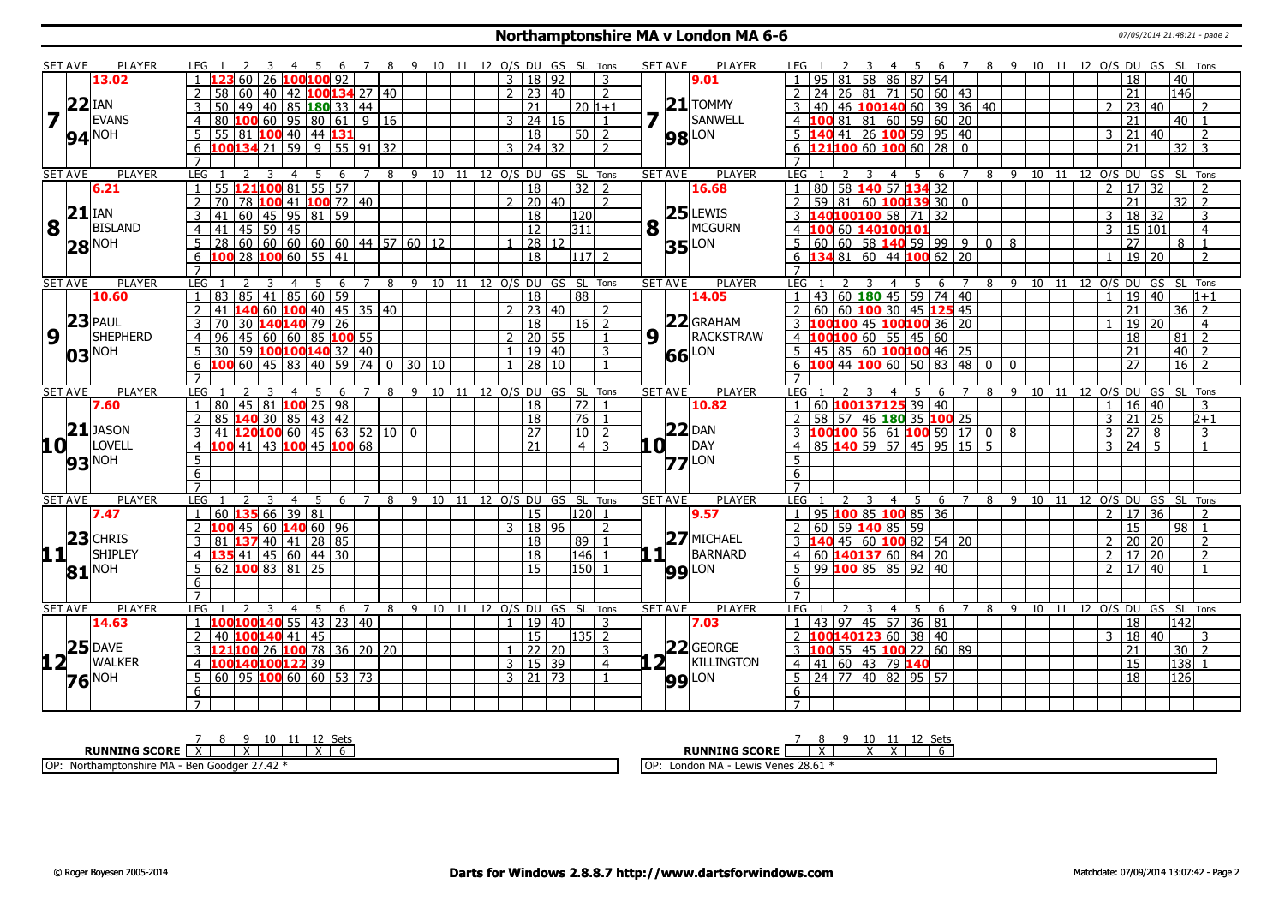#### **Northamptonshire MA v London MA 6-6** 07/09/2014 21:48:21 - page 2

|                         | SET AVE         | <b>PLAYER</b>            | LEG 1                                                  |                                      | 78             |        |    | 9 10 11 12 O/S DU GS SL Tons   |                          |                     |                  |                | <b>SET AVE</b> | <b>PLAYER</b>       | LEG 1                                           |                                              | - 6             | 7 8 9 10 11 12 O/S DU GS SL Tons |                           |       |    |                |                 |                 |                              |
|-------------------------|-----------------|--------------------------|--------------------------------------------------------|--------------------------------------|----------------|--------|----|--------------------------------|--------------------------|---------------------|------------------|----------------|----------------|---------------------|-------------------------------------------------|----------------------------------------------|-----------------|----------------------------------|---------------------------|-------|----|----------------|-----------------|-----------------|------------------------------|
|                         |                 | 13.02                    | 60 <sub>1</sub>                                        | 26 100 100 92                        |                |        |    |                                |                          | 3   18   92         |                  | 3              |                | 9.01                |                                                 | 95 81 58 86 87 54                            |                 |                                  |                           |       |    |                | 18              |                 | 40                           |
|                         |                 |                          | 40<br>60<br>58                                         | 42   100  134   27   40              |                |        |    |                                | $\cdot$ $\overline{2}$ . | 23   40             |                  | <sup>2</sup>   |                |                     | 24<br>26                                        | 81 71 50 60 43                               |                 |                                  |                           |       |    |                | $\overline{21}$ |                 | 146                          |
|                         | $22$ IAN        |                          | 50<br>49<br>  40                                       | 85 <b>180</b> 33 44                  |                |        |    |                                |                          | 21                  | $ 20 1+1$        |                |                | $21$ TOMMY          | 40                                              | 46 100 140 60 39 36 40                       |                 |                                  |                           |       |    | $\overline{2}$ | 23   40         |                 | 2                            |
| $\overline{\mathbf{z}}$ |                 | <b>EVANS</b>             | 80<br>$\overline{4}$                                   | $100$ 60   95   80   61   9   16     |                |        |    |                                |                          | $3 \mid 24 \mid 16$ |                  |                |                | SANWELL             |                                                 | $81 \mid 81 \mid 60 \mid 59 \mid 60 \mid 20$ |                 |                                  |                           |       |    |                | 21              |                 | 40                           |
|                         |                 | 94 <sup>NOH</sup>        | 55                                                     | 81 100 40   44 131                   |                |        |    |                                |                          | 18                  | $50$   2         |                |                | <b>98</b> LON       |                                                 | 41 26 100 59 95 40                           |                 |                                  |                           |       |    | 3              | 21              | 40              | 2                            |
|                         |                 |                          | 100134 21 59 9 55 91 32<br>6                           |                                      |                |        |    |                                |                          | 3 24 32             |                  | $\mathcal{L}$  |                |                     | $6$ 121100 60 100 60 28 0                       |                                              |                 |                                  |                           |       |    |                | 21              |                 | $32 \mid 3$                  |
|                         |                 |                          |                                                        |                                      |                |        |    |                                |                          |                     |                  |                |                |                     |                                                 |                                              |                 |                                  |                           |       |    |                |                 |                 |                              |
|                         | <b>SET AVE</b>  | <b>PLAYER</b>            | LEG<br>3                                               | 5<br>6                               | 7              | 8      |    | 9 10 11 12 O/S DU GS SL Tons   |                          |                     |                  |                | <b>SET AVE</b> | <b>PLAYER</b>       | LEG                                             | -5<br>4                                      | 6               | $\overline{8}$<br>$\overline{7}$ |                           |       |    |                |                 |                 | 9 10 11 12 O/S DU GS SL Tons |
|                         |                 | 6.21                     | $121$ 100 81<br>55                                     | 55 57                                |                |        |    |                                |                          | $\overline{18}$     | $32 \mid 2$      |                |                | 16.68               |                                                 | 80 58 140 57 134 32                          |                 |                                  |                           |       |    | $\mathcal{P}$  | 17 32           |                 | $\overline{2}$               |
|                         |                 |                          | $\overline{2}$<br>70                                   | 78 100 41 100 72 40                  |                |        |    |                                |                          | $2 \mid 20 \mid 40$ |                  | $\overline{2}$ |                |                     | $\overline{z}$                                  | $59 81 60$ 100139 30 0                       |                 |                                  |                           |       |    |                | 21              |                 | $32$   2                     |
|                         | $21$ IAN        |                          | 60<br>3<br>41                                          | 45   95   81   59                    |                |        |    |                                |                          | $\overline{18}$     | l120l            |                |                | $25$ LEWIS          | 3 <sup>1</sup>                                  | 40100100 58 71 32                            |                 |                                  |                           |       |    | 3              | 18 32           |                 | 3                            |
| $\overline{\mathbf{8}}$ |                 | <b>BISLAND</b>           | $141$ 45 59 45<br>$\overline{4}$                       |                                      |                |        |    |                                |                          | $\overline{12}$     | 311              |                | $\mathbf{8}$   | MCGURN              | 4 100 60 140100101                              |                                              |                 |                                  |                           |       |    | $\overline{3}$ | 15 101          |                 | $\overline{4}$               |
|                         |                 |                          | $28   60   60   60   60   60   44   57   60   12$<br>5 |                                      |                |        |    |                                |                          | 28 12               |                  |                |                | LON                 | $60 60 58$ 140 59 99 9 0 8<br>5                 |                                              |                 |                                  |                           |       |    |                | $\overline{27}$ |                 | 8                            |
|                         |                 | $28^{\text{NOH}}$        | 100 28 100 60 55 41<br>6                               |                                      |                |        |    |                                |                          | $\overline{18}$     | 11712            |                | 35             |                     |                                                 | 34 81 60 44 100 62 20                        |                 |                                  |                           |       |    |                | $19$   20       |                 | $\overline{2}$               |
|                         |                 |                          |                                                        |                                      |                |        |    |                                |                          |                     |                  |                |                |                     |                                                 |                                              |                 |                                  |                           |       |    |                |                 |                 |                              |
|                         | <b>SET AVE</b>  | <b>PLAYER</b>            | LEG <sub>1</sub><br>3                                  | 5<br>$\overline{4}$<br>- 6           | $\overline{7}$ |        |    | 8 9 10 11 12 O/S DU GS SL Tons |                          |                     |                  |                | <b>SET AVE</b> | <b>PLAYER</b>       | LEG <sub>1</sub>                                | 5<br>3<br>$\overline{4}$                     | 6               | $\overline{7}$                   | 8 9 10 11 12 0/S DU GS SL |       |    |                |                 |                 | Tons                         |
|                         |                 | 10.60                    | 83 85 41 85 60 59                                      |                                      |                |        |    |                                |                          | $\overline{18}$     | $\overline{88}$  |                |                | 14.05               |                                                 | 43 60 180 45 59 74 40                        |                 |                                  |                           |       |    |                | $\overline{19}$ | $\overline{40}$ | $1 + 1$                      |
|                         |                 |                          | 41<br>140                                              | 60 <b>100</b> 40 45 35 40            |                |        |    |                                |                          | 23 40               |                  | 2              |                |                     | 60                                              | 60 100 30 45 125 45                          |                 |                                  |                           |       |    |                | 21              |                 | 36<br>$\overline{2}$         |
|                         |                 | $23$ PAUL                | 3<br>70                                                | 30 140 140 79 26                     |                |        |    |                                |                          | 18                  | 16   2           |                |                | $22$ GRAHAM         | $3\,$ 1                                         | 00 100 45 100 100 36 20                      |                 |                                  |                           |       |    |                | 19 20           |                 | $\overline{4}$               |
| $\overline{9}$          | 11 <sup>2</sup> | SHEPHERD                 | 45<br>60<br>96<br>$\overline{4}$                       | 60 85 100 55                         |                |        |    |                                |                          | $2$ 20 55           |                  | $\overline{1}$ | 9 <sub>1</sub> | RACKSTRAW           | 4 100100 60 55 45 60                            |                                              |                 |                                  |                           |       |    |                | 18              |                 | 81<br>$\overline{2}$         |
|                         |                 |                          | 5<br>30 59 100100 140 32 40                            |                                      |                |        |    |                                | $\mathbf{1}$             | 19   40             |                  | $\mathbf{R}$   |                |                     | $5   45   85   60   100   100   46   25$        |                                              |                 |                                  |                           |       |    |                | 21              |                 | 40<br>$\overline{2}$         |
|                         |                 | 03 <sup>NOH</sup>        |                                                        | 60 45 83 40 59 74 0 30 10            |                |        |    |                                |                          | 28 10               |                  |                | 66             | LON                 | 100                                             | 44 100 60 50 83 48 0 0                       |                 |                                  |                           |       |    |                | 27              |                 | $16$   2                     |
|                         |                 |                          | 6<br>$\overline{7}$                                    |                                      |                |        |    |                                |                          |                     |                  |                |                |                     | 6<br>$\overline{7}$                             |                                              |                 |                                  |                           |       |    |                |                 |                 |                              |
|                         | <b>SET AVE</b>  | <b>PLAYER</b>            | LEG                                                    | -6                                   | 7              | 8<br>9 |    | 10 11 12 O/S DU GS SL Tons     |                          |                     |                  |                | <b>SET AVE</b> | <b>PLAYER</b>       | LEG                                             |                                              | 6               | -8                               | -9                        | 10 11 |    |                |                 |                 | 12 O/S DU GS SL Tons         |
|                         |                 | 7.60                     | l 80 l<br>$\overline{1}$                               | 45   81   <mark>100</mark>   25   98 |                |        |    |                                |                          | <sup>18</sup>       | 72 1             |                |                | 10.82               | 60 100137125 39 40                              |                                              |                 |                                  |                           |       |    | $\mathbf{1}$   | 16 40           |                 | 3                            |
|                         |                 |                          | $\overline{2}$<br>85<br>140 30                         | 85 43 42                             |                |        |    |                                |                          | <sup>18</sup>       | 76 1             |                |                |                     |                                                 | 58 57 46 180 35 100 25                       |                 |                                  |                           |       |    | 3              | $\overline{21}$ | 25              | $2 + 1$                      |
|                         |                 | $21$ JASON               | 41                                                     | $120100$ 60   45   63   52   10   0  |                |        |    |                                |                          | $\overline{27}$     | $\sqrt{10}$ 2    |                |                | $22$ DAN            |                                                 | LOO <mark>100</mark> 56 61 100 59 17 0 8     |                 |                                  |                           |       |    | 3              | 27              | 8               | $\overline{3}$               |
| 10 L                    |                 | LOVELL                   | LOO 41   43   100   45   100   68  <br>$\overline{4}$  |                                      |                |        |    |                                |                          | 21                  | $4 \mid 3$       |                | LO I           | DAY                 |                                                 | 85 140 59 57 45 95 15 5                      |                 |                                  |                           |       |    | 3              | $24 \mid 5$     |                 |                              |
|                         |                 |                          | 5                                                      |                                      |                |        |    |                                |                          |                     |                  |                |                |                     | 5                                               |                                              |                 |                                  |                           |       |    |                |                 |                 |                              |
|                         |                 | 93 <sup>NOH</sup>        |                                                        |                                      |                |        |    |                                |                          |                     |                  |                |                | $ZZ$ <sup>LON</sup> |                                                 |                                              |                 |                                  |                           |       |    |                |                 |                 |                              |
|                         |                 |                          | 6<br>$\overline{7}$                                    |                                      |                |        |    |                                |                          |                     |                  |                |                |                     | 6<br>$\overline{7}$                             |                                              |                 |                                  |                           |       |    |                |                 |                 |                              |
|                         | <b>SET AVE</b>  | <b>PLAYER</b>            | LEG<br>3                                               | 5<br>-6                              | $\overline{7}$ | 9<br>8 | 10 | 11                             | 12 O/S DU GS SL          |                     |                  | Tons           | <b>SET AVE</b> | <b>PLAYER</b>       | <b>LEG</b>                                      | $\overline{4}$<br>- 5                        | 6               | $\overline{7}$<br>8              | -9                        | 10    | 11 |                | 12 O/S DU GS SL |                 | Tons                         |
|                         |                 | 7.47                     | 60 <b>135</b> 66 39 81                                 | 4                                    |                |        |    |                                |                          | 15                  | l120l 1          |                |                | 9.57                |                                                 | 95 100 85 100 85 36                          |                 |                                  |                           |       |    | $\overline{2}$ | 17 36           |                 | $\mathcal{L}$                |
|                         |                 |                          | 100 45 60 140 60 96<br>$\mathcal{P}$                   |                                      |                |        |    |                                |                          | 3   18   96         |                  | $\overline{z}$ |                |                     | 2                                               | $60$   59 <b>140</b> 85   59                 |                 |                                  |                           |       |    |                | $\overline{15}$ |                 | 98<br>$\overline{1}$         |
|                         |                 | $23$ CHRIS               | 137                                                    | 40 41 28 85                          |                |        |    |                                |                          | 18                  |                  |                |                | $27$ MICHAEL        | 3                                               | 45 60 100 82 54 20                           |                 |                                  |                           |       |    |                |                 |                 |                              |
|                         |                 | SHIPLEY                  | 3<br>81                                                |                                      |                |        |    |                                |                          |                     | $89$   1         |                | 11             | BARNARD             |                                                 |                                              |                 |                                  |                           |       |    | $\overline{2}$ | 20              | 20              | 2<br>$\overline{2}$          |
| 11                      |                 |                          | 4 <b>135</b> 41 45 60 44 30                            |                                      |                |        |    |                                |                          | 18                  | l146l 1          |                |                |                     | $ 60 $ <b>140137</b> 60 84 20<br>$\overline{4}$ |                                              |                 |                                  |                           |       |    | $\overline{2}$ | 17 20           |                 |                              |
|                         |                 | $81$ <sup>NOH</sup>      | 100838125<br>$5\overline{)}$<br>62                     |                                      |                |        |    |                                |                          | $\overline{15}$     | 150 <sup>1</sup> |                |                | <b>99</b> LON       | $99$ 100 85 85 92<br>5                          |                                              | $\overline{40}$ |                                  |                           |       |    | $\mathcal{P}$  | $\overline{17}$ | $ 40\rangle$    | $\overline{1}$               |
|                         |                 |                          | 6                                                      |                                      |                |        |    |                                |                          |                     |                  |                |                |                     | 6                                               |                                              |                 |                                  |                           |       |    |                |                 |                 |                              |
|                         |                 |                          | $\overline{7}$                                         |                                      |                |        |    |                                |                          |                     |                  |                |                |                     |                                                 |                                              |                 |                                  |                           |       |    |                |                 |                 |                              |
|                         | <b>SET AVE</b>  | <b>PLAYER</b>            | LEG                                                    | 4<br>6                               | $\overline{7}$ | 8      |    | 9 10 11 12 0/S DU GS SL Tons   |                          |                     |                  |                | <b>SET AVE</b> | <b>PLAYER</b>       | LEG                                             | $\overline{4}$<br>-5                         | 6               | 8                                | $\mathsf{q}$              |       |    |                |                 |                 | 10 11 12 O/S DU GS SL Tons   |
|                         |                 | 14.63                    | $1 \overline{100100140}$ 55   43   23   40             |                                      |                |        |    |                                | $\mathbf{1}$             | 19   40             |                  | 3              |                | 7.03                |                                                 | 43 97 45 57 36 81                            |                 |                                  |                           |       |    |                | $\overline{18}$ |                 | 142                          |
|                         |                 |                          | $100140$ 41 45<br>40                                   |                                      |                |        |    |                                |                          | 15                  | $135$ 2          |                |                |                     |                                                 | 40123 60 38 40                               |                 |                                  |                           |       |    | 3              | 18              | $ 40\rangle$    | 3                            |
|                         |                 | $25$ DAVE                | <b>121100</b> 26 <b>100</b> 78 36 20 20                |                                      |                |        |    |                                |                          | 22 20               |                  | 3              |                | $22$ GEORGE         |                                                 | $55$ 45 100 22 60 89                         |                 |                                  |                           |       |    |                | 21              |                 | $30 \mid 2$                  |
| $12 -$                  |                 | <b>WALKER</b>            | 100140100122 39<br>$\overline{4}$                      |                                      |                |        |    |                                |                          | 3   15   39         |                  | $\overline{4}$ | 2 <sub>1</sub> | KILLINGTON          | 4   41   60   43   79   140                     |                                              |                 |                                  |                           |       |    |                | 15              |                 | 138                          |
|                         |                 | <b>76</b> <sup>NOH</sup> | $60$   95 <b>100</b> 60   60   53   73<br>5            |                                      |                |        |    |                                |                          | $3 \mid 21 \mid 73$ |                  | $\overline{1}$ |                | $99$ <sup>LON</sup> | $5 \ 24 \ 77 \ 40 \ 82 \ 95 \ 57$               |                                              |                 |                                  |                           |       |    |                | $\overline{18}$ |                 | 126                          |
|                         |                 |                          |                                                        |                                      |                |        |    |                                |                          |                     |                  |                |                |                     |                                                 |                                              |                 |                                  |                           |       |    |                |                 |                 |                              |
|                         |                 |                          | 6                                                      |                                      |                |        |    |                                |                          |                     |                  |                |                |                     | 6                                               |                                              |                 |                                  |                           |       |    |                |                 |                 |                              |

| o<br>ししい                                                                                          | ししい                                                          |
|---------------------------------------------------------------------------------------------------|--------------------------------------------------------------|
| <b>RUNNING SCORE</b>                                                                              | <b>RUNNING SCORE</b>                                         |
| OP:<br>27.42<br><b>A</b> 1<br>$\sim M^{\prime}$<br>…JiriA - Ben Goodger i i<br>Northamptonshire " | ewis Venes 28.61<br>МΔ<br>$\overline{\phantom{a}}$<br>Londor |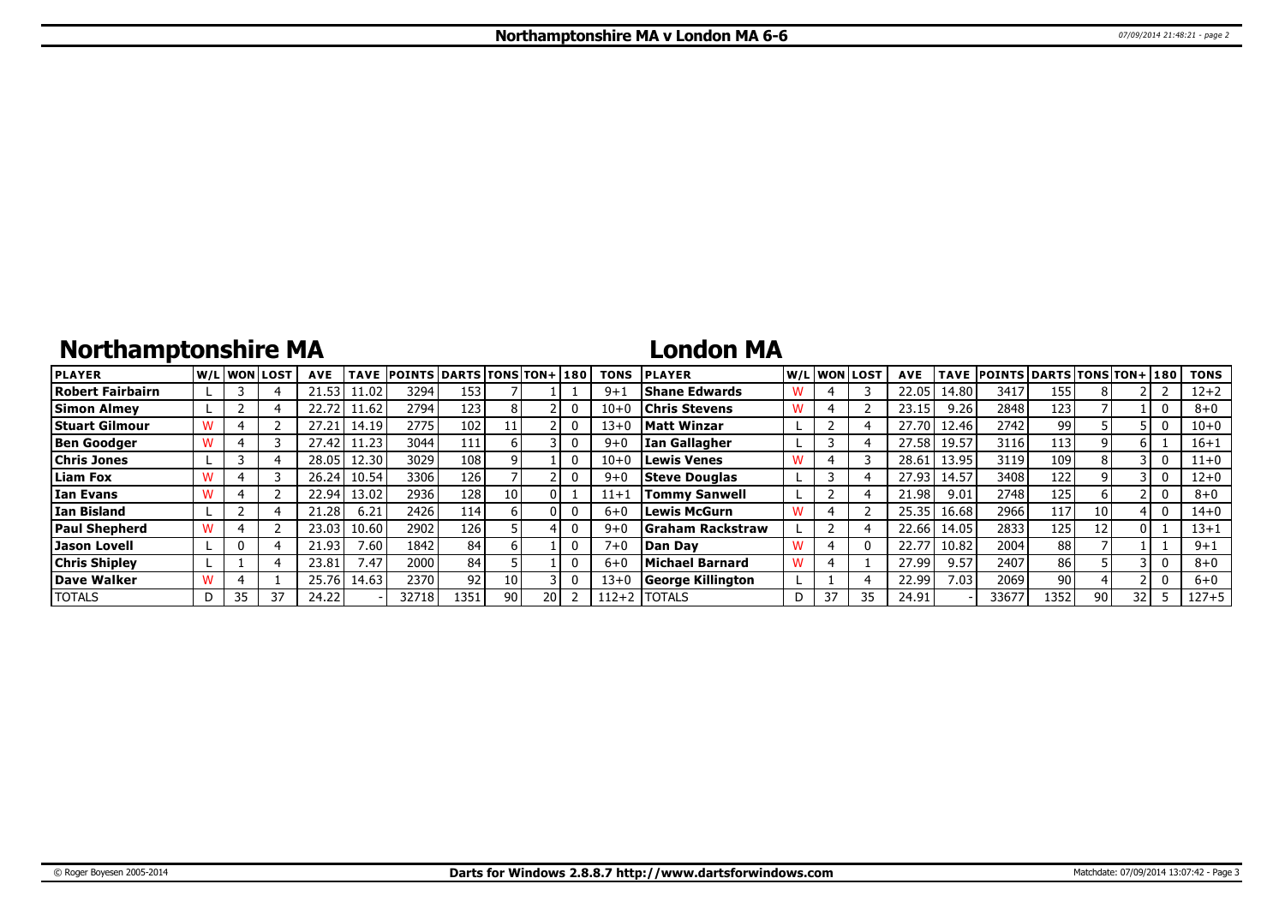## **Northamptonshire MA**

### **London MA**

| <b>PLAYER</b>        |    | W/L WON LOST | <b>AVE</b> | <b>TAVE</b> | <b>POINTS DARTS TONS TON+180</b> |      |                 |    | <b>TONS</b> | <b>IPLAYER</b>           |   |    | W/L WON LOST | <b>AVE</b> |       | TAVE  POINTS   DARTS   TONS   TON+   180 |                 |    |    |              | <b>TONS</b> |
|----------------------|----|--------------|------------|-------------|----------------------------------|------|-----------------|----|-------------|--------------------------|---|----|--------------|------------|-------|------------------------------------------|-----------------|----|----|--------------|-------------|
| Robert Fairbairn     |    |              |            | 1.02        | 3294                             | 153  |                 |    | $9+1$       | Shane Edwards            | W |    |              | 22.05      | 14.80 | 3417                                     | 155             |    |    |              | $12 + 2$    |
| <b>Simon Almev</b>   |    |              | 22.72      | 11.62       | 2794                             | 123  |                 |    | $10 + 0$    | <b>Chris Stevens</b>     | W |    |              | 23.15      | 9.26  | 2848                                     | 123'            |    |    | 0            | $8 + 0$     |
| Stuart Gilmour       |    |              | 27.21      | 14.19       | 2775                             | 102  |                 |    | 13+0        | <b>Matt Winzar</b>       |   |    |              | 27.70      | 12.46 | 2742                                     | 99              |    |    | U            | $10 + 0$    |
| <b>Ben Goodger</b>   |    |              | 27.42      | 11.23       | 3044                             | 111  |                 |    | $9 + 0$     | <b>Ian Gallagher</b>     |   |    |              | 27.58      | 19.57 | 3116                                     | 113             |    |    |              | $16 + 1$    |
| <b>Chris Jones</b>   |    |              | 28.05      | 12.30       | 3029                             | 108  |                 |    | $10 + 0$    | Lewis Venes              |   |    |              | 28.61      | 13.95 | 3119                                     | 109             |    |    | 0            | $11 + 0$    |
| <b>Liam Fox</b>      |    |              | 26.24      | 10.54       | 3306                             | 126  |                 |    | $9 + 0$     | <b>Steve Douglas</b>     |   |    |              | 27.93      | 14.57 | 3408                                     | 122             |    |    |              | $12 + 0$    |
| Ian Evans            |    |              | 22.94      | 13.02       | 2936                             | 128  |                 |    | $11 + 1$    | <b>Tommy Sanwell</b>     |   |    |              | 21.98      | 9.01  | 2748                                     | 125             |    |    |              | $8 + 0$     |
| l Ian Bisland        |    |              | 21.28      | 6.21        | 2426                             | 114  |                 |    | $6 + 0$     | l Lewis McGurn           |   |    |              | 25.35      | 16.68 | 2966                                     | 117             | 10 |    | $\mathbf{0}$ | $14 + 0$    |
| <b>Paul Shepherd</b> |    |              | 23.03      | 10.60       | 2902                             | 126  |                 |    | $9 + 0$     | <b>SGraham Rackstraw</b> |   |    |              | 22.66      | 14.05 | 2833                                     | 125             | 12 |    |              | $13 + 1$    |
| Jason Lovell         |    |              | 21.93      | 7.60.       | 1842                             | 84   |                 |    | $7 + 0$     | <b>IDan Dav</b>          |   |    |              | 22.77      | 10.82 | 2004                                     | 88              |    |    |              | $9 + 1$     |
| <b>Chris Shipley</b> |    |              | 23.81      | 7.47        | 2000                             | 84   |                 |    | $6 + 0$     | Michael Barnard          | W |    |              | 27.99      | 9.57  | 2407                                     | 86              |    |    | $\Omega$     | $8 + 0$     |
| Dave Walker          |    |              | 25.76      | 14.63       | 2370                             | 92   | 10              |    | 13+0        | George Killington        |   |    |              | 22.99      | 7.03  | 2069                                     | 90 <sub>1</sub> |    |    |              | $6 + 0$     |
| <b>TOTALS</b>        | 35 | 37           | 24.22      |             | 32718                            | 1351 | 90 <sub>1</sub> | 20 | 112+2       | <b>TOTALS</b>            | D | 37 |              | 24.91      |       | 33677                                    | 1352            | 90 | つつ |              | 127+5       |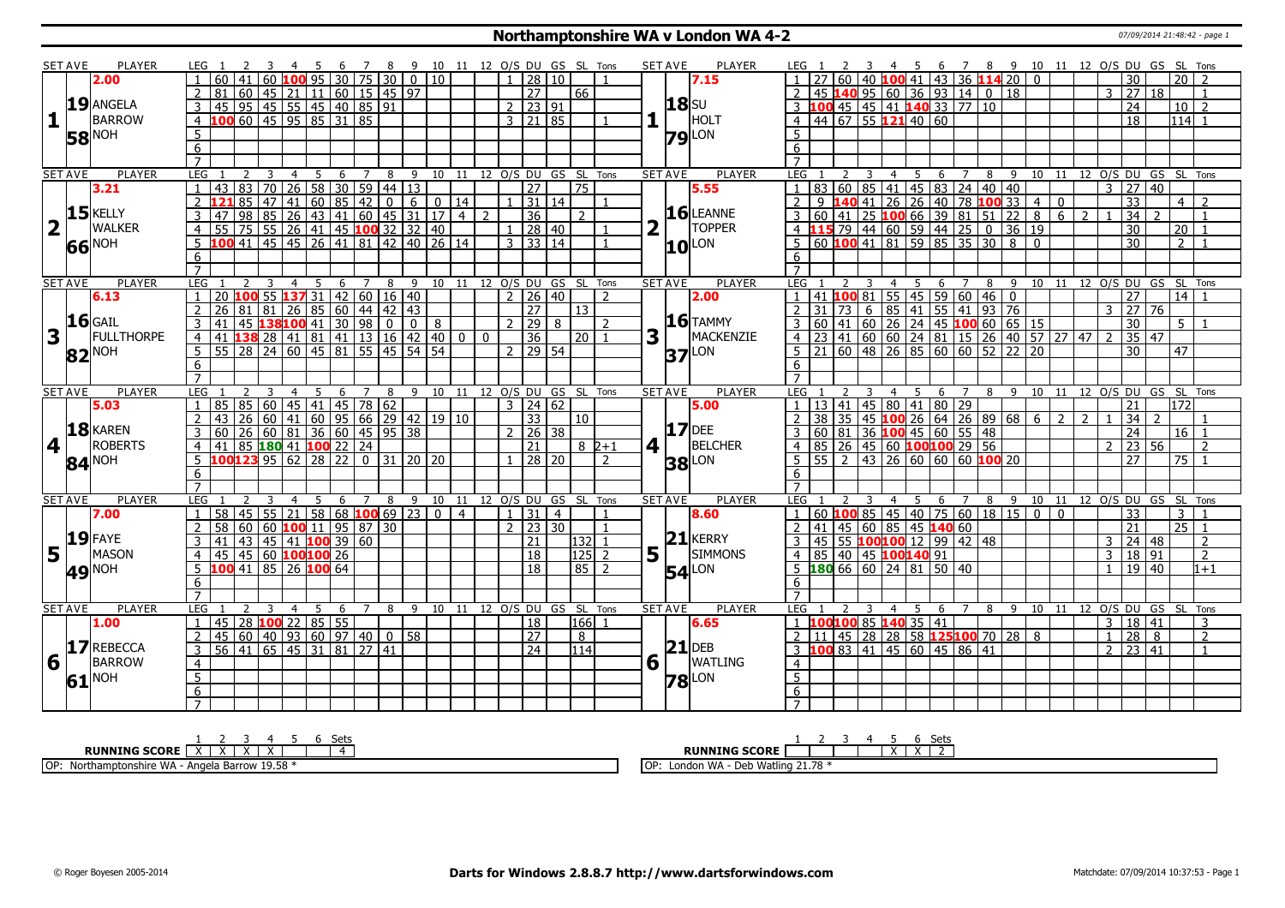### **Northamptonshire WA v London WA 4-2** 07/09/2014 21:48:42 - page 1

|                | <b>SET AVE</b> | <b>PLAYER</b>     |                | LEG 1 |                 |    | -3             |                |                      |   |   |                |                                            |        |   |                                                                                                                                                                                              |                                     |                                                                                                                                                        |                                   |                 |                                      |                 | 4 5 6 7 8 9 10 11 12 O/S DU GS SL Tons |                |                  | SET AVE        | <b>PLAYER</b>       | LEG 1          |   |                                                                                             |                |                |   |                |                |  |                                                                                                                                                                         |                                                                                                                                               |                |                   |                 |                 | 2 3 4 5 6 7 8 9 10 11 12 O/S DU GS SL Tons |  |
|----------------|----------------|-------------------|----------------|-------|-----------------|----|----------------|----------------|----------------------|---|---|----------------|--------------------------------------------|--------|---|----------------------------------------------------------------------------------------------------------------------------------------------------------------------------------------------|-------------------------------------|--------------------------------------------------------------------------------------------------------------------------------------------------------|-----------------------------------|-----------------|--------------------------------------|-----------------|----------------------------------------|----------------|------------------|----------------|---------------------|----------------|---|---------------------------------------------------------------------------------------------|----------------|----------------|---|----------------|----------------|--|-------------------------------------------------------------------------------------------------------------------------------------------------------------------------|-----------------------------------------------------------------------------------------------------------------------------------------------|----------------|-------------------|-----------------|-----------------|--------------------------------------------|--|
|                |                | 2.00              |                |       | 60 <sub>1</sub> | 41 | 60             |                |                      |   |   |                | LOO 95 30 75 30                            |        |   | $\boxed{0}$ 10                                                                                                                                                                               |                                     |                                                                                                                                                        |                                   | 28              | 10                                   |                 |                                        |                |                  |                | 7.15                |                |   | $60   40   100   41   43   36   114   20   01$                                              |                |                |   |                |                |  |                                                                                                                                                                         |                                                                                                                                               |                | 30                |                 | 20              |                                            |  |
|                |                |                   |                | 81    |                 |    |                |                |                      |   |   |                |                                            |        |   |                                                                                                                                                                                              |                                     |                                                                                                                                                        | $\overline{27}$                   |                 |                                      | 66              |                                        |                |                  |                |                     |                |   | $2   45   140   95   60   36   93   14   0   18$                                            |                |                |   |                |                |  |                                                                                                                                                                         |                                                                                                                                               | $\overline{3}$ | $\overline{27}$   | $\overline{18}$ |                 |                                            |  |
|                |                | 19 ANGELA         |                |       |                 |    |                |                |                      |   |   |                |                                            |        |   |                                                                                                                                                                                              |                                     |                                                                                                                                                        | $2 \mid 23 \mid 91$               |                 |                                      |                 |                                        |                |                  | <b>18</b> SU   |                     |                |   | 3 100 45 45 41 140 33 77 10                                                                 |                |                |   |                |                |  |                                                                                                                                                                         |                                                                                                                                               |                | $\overline{24}$   |                 |                 | $10$   2                                   |  |
| 1              |                | <b>BARROW</b>     |                |       |                 |    |                |                |                      |   |   |                |                                            |        |   |                                                                                                                                                                                              |                                     |                                                                                                                                                        | $3 \mid 21 \mid 85$               |                 |                                      |                 |                                        |                |                  |                | HOLT                |                |   | $4 \overline{)44}$ 67 55 121 40 60                                                          |                |                |   |                |                |  |                                                                                                                                                                         |                                                                                                                                               |                | $\overline{18}$   |                 | $114$ 1         |                                            |  |
|                |                | <b>NOH</b>        | 5              |       |                 |    |                |                |                      |   |   |                |                                            |        |   |                                                                                                                                                                                              |                                     |                                                                                                                                                        |                                   |                 |                                      |                 |                                        |                |                  |                |                     | 5 <sup>5</sup> |   |                                                                                             |                |                |   |                |                |  |                                                                                                                                                                         |                                                                                                                                               |                |                   |                 |                 |                                            |  |
|                | 58             |                   | 6              |       |                 |    |                |                |                      |   |   |                |                                            |        |   |                                                                                                                                                                                              |                                     |                                                                                                                                                        |                                   |                 |                                      |                 |                                        |                |                  |                | <b>79</b> LON       | 6              |   |                                                                                             |                |                |   |                |                |  |                                                                                                                                                                         |                                                                                                                                               |                |                   |                 |                 |                                            |  |
|                |                |                   | $\overline{7}$ |       |                 |    |                |                |                      |   |   |                |                                            |        |   |                                                                                                                                                                                              |                                     |                                                                                                                                                        |                                   |                 |                                      |                 |                                        |                |                  |                |                     | $\overline{7}$ |   |                                                                                             |                |                |   |                |                |  |                                                                                                                                                                         |                                                                                                                                               |                |                   |                 |                 |                                            |  |
|                | <b>SET AVE</b> | <b>PLAYER</b>     |                |       |                 |    |                |                |                      |   |   |                |                                            |        |   | 1 43 83 70 26 58 30 59 44 13<br>2 <b>121</b> 85 47 41 60 85 42 0 6 0<br>3 47 98 85 26 43 41 60 45 31 17<br>4 55 75 55 26 41 45 <b>100</b> 32 32 40<br>5 5 75 55 26 41 45 <b>100</b> 32 32 40 |                                     |                                                                                                                                                        |                                   |                 |                                      |                 | 9 10 11 12 0/S DU GS SL Tons           |                |                  | <b>SET AVE</b> | <b>PLAYER</b>       | LEG            | 2 | 3                                                                                           | $\overline{4}$ | 5 <sub>5</sub> |   |                |                |  |                                                                                                                                                                         |                                                                                                                                               |                |                   |                 |                 | 6 7 8 9 10 11 12 O/S DU GS SL Tons         |  |
|                |                | 3.21              |                |       |                 |    |                |                |                      |   |   |                |                                            |        |   |                                                                                                                                                                                              |                                     |                                                                                                                                                        | $\overline{27}$                   |                 |                                      | $\overline{75}$ |                                        |                |                  |                | 5.55                |                |   |                                                                                             |                |                |   |                |                |  | 1 83 60 85 41 45 83 24 40 40<br>2 9 <b>140</b> 41 26 26 40 78 <b>100</b> 33 4 0<br>3 60 41 25 <b>100</b> 66 39 81 51 22 8 6 2<br>4 <b>115</b> 79 44 60 59 44 25 0 36 19 |                                                                                                                                               | 3              | $\overline{27}$   | 40              |                 |                                            |  |
|                |                |                   |                |       |                 |    |                |                |                      |   |   |                |                                            |        |   |                                                                                                                                                                                              | 6014                                |                                                                                                                                                        | $1 \overline{)31} \overline{)14}$ |                 |                                      |                 | $\overline{1}$                         |                |                  |                |                     |                |   |                                                                                             |                |                |   |                |                |  |                                                                                                                                                                         |                                                                                                                                               |                | $\overline{33}$   |                 | 4               | $\overline{2}$                             |  |
|                |                | $15$ <b>KELLY</b> |                |       |                 |    |                |                |                      |   |   |                |                                            |        |   |                                                                                                                                                                                              |                                     | $31 \mid 17 \mid 4 \mid 2$                                                                                                                             |                                   | $\overline{36}$ |                                      | $\overline{2}$  |                                        |                |                  |                | $16$ LEANNE         |                |   |                                                                                             |                |                |   |                |                |  |                                                                                                                                                                         |                                                                                                                                               |                | $\overline{34}$   |                 |                 |                                            |  |
|                | $2\sqrt{ }$    | <b>WALKER</b>     |                |       |                 |    |                |                |                      |   |   |                |                                            |        |   |                                                                                                                                                                                              |                                     |                                                                                                                                                        | $1$ 28 40                         |                 |                                      |                 |                                        |                |                  |                | TOPPER              |                |   |                                                                                             |                |                |   |                |                |  |                                                                                                                                                                         |                                                                                                                                               |                | 30                |                 | 20              |                                            |  |
|                |                | <b>NOH</b>        |                |       |                 |    |                |                |                      |   |   |                |                                            |        |   |                                                                                                                                                                                              | $100$ 41 45 45 26 41 81 42 40 26 14 |                                                                                                                                                        | $3 \mid 33 \mid 14$               |                 |                                      |                 |                                        |                |                  |                |                     |                |   | $5 60 $ 100 41 81 59 85 35 30 8 0                                                           |                |                |   |                |                |  |                                                                                                                                                                         |                                                                                                                                               |                | $\overline{30}$   |                 | $\overline{2}$  |                                            |  |
|                | 66             |                   | -6             |       |                 |    |                |                |                      |   |   |                |                                            |        |   |                                                                                                                                                                                              |                                     |                                                                                                                                                        |                                   |                 |                                      |                 |                                        |                |                  |                | $10^{\text{LON}}$   | 6              |   |                                                                                             |                |                |   |                |                |  |                                                                                                                                                                         |                                                                                                                                               |                |                   |                 |                 |                                            |  |
|                |                |                   |                |       |                 |    |                |                |                      |   |   |                |                                            |        |   |                                                                                                                                                                                              |                                     |                                                                                                                                                        |                                   |                 |                                      |                 |                                        |                |                  |                |                     |                |   |                                                                                             |                |                |   |                |                |  |                                                                                                                                                                         |                                                                                                                                               |                |                   |                 |                 |                                            |  |
|                | <b>SET AVE</b> | <b>PLAYER</b>     | LEG            |       |                 |    | $\overline{3}$ | $\overline{4}$ |                      |   |   |                |                                            |        |   |                                                                                                                                                                                              |                                     |                                                                                                                                                        |                                   |                 | 5 6 7 8 9 10 11 12 O/S DU GS SL Tons |                 |                                        | <b>SET AVE</b> |                  |                | <b>PLAYER</b>       | LEG            |   |                                                                                             |                |                |   |                |                |  |                                                                                                                                                                         |                                                                                                                                               |                |                   |                 |                 | 4 5 6 7 8 9 10 11 12 O/S DU GS SL Tons     |  |
|                |                | 6.13              |                |       |                 |    |                |                |                      |   |   |                | 20 <b>100</b> 55 <b>137</b> 31 42 60 16 40 |        |   |                                                                                                                                                                                              |                                     |                                                                                                                                                        | $\overline{2}$                    | $26 \mid 40$    |                                      |                 | $\overline{2}$                         |                |                  |                | 2.00                | $\overline{1}$ |   | 41   <mark>100</mark> 81   55   45   59   60   46   0                                       |                |                |   |                |                |  |                                                                                                                                                                         |                                                                                                                                               |                | $\overline{27}$   |                 | 14              |                                            |  |
|                |                |                   |                |       |                 |    |                |                |                      |   |   |                |                                            |        |   |                                                                                                                                                                                              |                                     |                                                                                                                                                        | $\overline{27}$                   |                 |                                      | 13              |                                        |                |                  |                |                     |                |   |                                                                                             |                |                |   |                |                |  |                                                                                                                                                                         |                                                                                                                                               |                | $27 \mid 76$      |                 |                 |                                            |  |
|                |                | $16$ GAIL         |                |       |                 |    |                |                |                      |   |   |                |                                            |        |   |                                                                                                                                                                                              |                                     | 2 26 81 81 26 85 60 44 42 43<br>3 41 45 <b>138100</b> 41 30 98 0 0 8<br>4 41 <b>138</b> 28 41 81 41 13 16 42 40 0 0<br>5 55 28 24 60 45 81 55 45 54 54 | 2 29                              |                 | 8                                    |                 | $\mathcal{L}$                          |                |                  |                | $16$ TAMMY          |                |   |                                                                                             |                |                |   |                |                |  |                                                                                                                                                                         | 2 31 73 6 85 41 55 41 93 76<br>3 60 41 60 26 24 45 100 60 65 15<br>4 23 41 60 60 24 81 15 26 40 57 27 47 2<br>5 21 60 48 26 85 60 60 52 22 20 |                | 30                |                 |                 | $5\vert$ 1                                 |  |
| 3 <sup>1</sup> |                | <b>FULLTHORPE</b> |                |       |                 |    |                |                |                      |   |   |                |                                            |        |   |                                                                                                                                                                                              |                                     |                                                                                                                                                        | $\overline{36}$                   |                 |                                      | 120 L 1         |                                        | 3              |                  |                | MACKENZIE           |                |   |                                                                                             |                |                |   |                |                |  |                                                                                                                                                                         |                                                                                                                                               |                | $\frac{1}{35}$ 47 |                 |                 |                                            |  |
|                |                |                   |                |       |                 |    |                |                |                      |   |   |                |                                            |        |   |                                                                                                                                                                                              |                                     |                                                                                                                                                        | $2 \mid 29 \mid 54$               |                 |                                      |                 |                                        |                |                  |                |                     |                |   |                                                                                             |                |                |   |                |                |  |                                                                                                                                                                         |                                                                                                                                               |                | 30                |                 | 47              |                                            |  |
|                |                | 82 NOH            | 6              |       |                 |    |                |                |                      |   |   |                |                                            |        |   |                                                                                                                                                                                              |                                     |                                                                                                                                                        |                                   |                 |                                      |                 |                                        |                |                  | $37$ LON       |                     | 6              |   |                                                                                             |                |                |   |                |                |  |                                                                                                                                                                         |                                                                                                                                               |                |                   |                 |                 |                                            |  |
|                |                |                   | $\overline{7}$ |       |                 |    |                |                |                      |   |   |                |                                            |        |   |                                                                                                                                                                                              |                                     |                                                                                                                                                        |                                   |                 |                                      |                 |                                        |                |                  |                |                     | $\overline{7}$ |   |                                                                                             |                |                |   |                |                |  |                                                                                                                                                                         |                                                                                                                                               |                |                   |                 |                 |                                            |  |
|                | <b>SET AVE</b> | <b>PLAYER</b>     | <b>LEG</b>     |       |                 |    | 3              | $\overline{4}$ | 5                    | 6 |   |                |                                            |        |   |                                                                                                                                                                                              |                                     |                                                                                                                                                        |                                   |                 |                                      |                 | 7 8 9 10 11 12 0/S DU GS SL Tons       | <b>SET AVE</b> |                  |                | <b>PLAYER</b>       | LEG            |   |                                                                                             | 4 5            |                |   |                |                |  |                                                                                                                                                                         |                                                                                                                                               |                |                   |                 |                 | 6 7 8 9 10 11 12 O/S DU GS SL Tons         |  |
|                |                | 5.03              |                |       |                 |    |                |                |                      |   |   |                |                                            |        |   |                                                                                                                                                                                              |                                     |                                                                                                                                                        | $3 \mid 24 \mid 62$               |                 |                                      |                 |                                        |                |                  |                | 5.00                |                |   |                                                                                             |                |                |   |                |                |  |                                                                                                                                                                         |                                                                                                                                               |                | 21                |                 | 172             |                                            |  |
|                |                |                   |                |       |                 |    |                |                |                      |   |   |                |                                            |        |   |                                                                                                                                                                                              |                                     |                                                                                                                                                        |                                   | $\overline{33}$ |                                      | $ 10\rangle$    |                                        |                |                  |                |                     |                |   |                                                                                             |                |                |   |                |                |  |                                                                                                                                                                         | $\overline{2}$                                                                                                                                |                | $\overline{34}$   |                 |                 |                                            |  |
|                |                | $18$ <b>KAREN</b> |                |       |                 |    |                |                |                      |   |   |                |                                            |        |   |                                                                                                                                                                                              |                                     |                                                                                                                                                        | $2 \mid 26 \mid 38$               |                 |                                      |                 |                                        |                |                  | <b>17</b> DEE  |                     |                |   |                                                                                             |                |                |   |                |                |  |                                                                                                                                                                         |                                                                                                                                               |                | $\overline{24}$   |                 | 16              | $\overline{\phantom{0}}$ 1                 |  |
| 4 <sup>1</sup> |                | <b>ROBERTS</b>    |                |       |                 |    |                |                |                      |   |   |                |                                            |        |   |                                                                                                                                                                                              |                                     |                                                                                                                                                        | 21                                |                 |                                      |                 | $8\,$ 2+1                              | $4$            |                  |                | <b>BELCHER</b>      |                |   | 4 85 26 45 60 100 100 29 56                                                                 |                |                |   |                |                |  |                                                                                                                                                                         |                                                                                                                                               | $\overline{2}$ | 23                | 56              |                 | $\overline{2}$                             |  |
|                |                | Noh               |                |       |                 |    |                |                |                      |   |   |                |                                            |        |   |                                                                                                                                                                                              |                                     |                                                                                                                                                        | $1 \ 28 \ 20$                     |                 |                                      |                 | 2                                      |                |                  |                |                     |                |   | $5 \ 155 \ 2 \ 143 \ 26 \ 60 \ 60 \ 60$ 100 20                                              |                |                |   |                |                |  |                                                                                                                                                                         |                                                                                                                                               |                | 27                |                 | $\overline{75}$ |                                            |  |
|                | 84             |                   | 6              |       |                 |    |                |                |                      |   |   |                |                                            |        |   |                                                                                                                                                                                              |                                     |                                                                                                                                                        |                                   |                 |                                      |                 |                                        |                |                  |                | <b>38</b> LON       | 6              |   |                                                                                             |                |                |   |                |                |  |                                                                                                                                                                         |                                                                                                                                               |                |                   |                 |                 |                                            |  |
|                |                |                   | $\overline{7}$ |       |                 |    |                |                |                      |   |   |                |                                            |        |   |                                                                                                                                                                                              |                                     |                                                                                                                                                        |                                   |                 |                                      |                 |                                        |                |                  |                |                     |                |   |                                                                                             |                |                |   |                |                |  |                                                                                                                                                                         |                                                                                                                                               |                |                   |                 |                 |                                            |  |
|                | <b>SET AVE</b> | <b>PLAYER</b>     | <b>LEG</b>     |       |                 |    |                | $\overline{4}$ | -5                   |   | 6 |                | 8                                          |        | 9 |                                                                                                                                                                                              |                                     |                                                                                                                                                        |                                   |                 | 10 11 12 O/S DU GS SL Tons           |                 |                                        | <b>SET AVE</b> |                  |                | <b>PLAYER</b>       | <b>LEG</b>     |   |                                                                                             | $\overline{4}$ |                | 6 | $\overline{7}$ | 8 <sup>9</sup> |  |                                                                                                                                                                         | 10 11 12 0/S DU GS SL                                                                                                                         |                |                   |                 |                 | Tons                                       |  |
|                |                | 7.00              |                |       |                 |    |                |                |                      |   |   |                |                                            |        |   |                                                                                                                                                                                              | $\overline{4}$                      |                                                                                                                                                        | -1 L                              | 31              | $\overline{4}$                       |                 |                                        |                |                  |                | 8.60                |                |   | $\vert$ 60 <b>100</b> 85 45 40 75 60 18 15 0                                                |                |                |   |                |                |  | $\overline{0}$                                                                                                                                                          |                                                                                                                                               |                | 33                |                 | 3               |                                            |  |
|                |                |                   | $\overline{2}$ |       |                 |    |                |                |                      |   |   |                | 58 60 60 100 11 95 87 30                   |        |   |                                                                                                                                                                                              |                                     |                                                                                                                                                        | 2  23                             |                 | $\overline{30}$                      |                 | $\overline{1}$                         |                |                  |                |                     | 2              |   | $\boxed{41}$ $\boxed{45}$ $\boxed{60}$ $\boxed{85}$ $\boxed{45}$ $\boxed{140}$ $\boxed{60}$ |                |                |   |                |                |  |                                                                                                                                                                         |                                                                                                                                               |                | 21                |                 | $\overline{25}$ |                                            |  |
|                |                | $19$ FAYE         | 3              | 41    |                 |    |                |                | 43 45 41 100 39 60   |   |   |                |                                            |        |   |                                                                                                                                                                                              |                                     |                                                                                                                                                        | 21                                |                 |                                      | 132 1           |                                        |                |                  |                | $21$ <b>KERRY</b>   |                |   | $3   45   55$ 100100 12 99 42 48                                                            |                |                |   |                |                |  |                                                                                                                                                                         |                                                                                                                                               | 3              | 24 48             |                 |                 | $\overline{2}$                             |  |
| $5\vert$       |                | MASON             | $\overline{4}$ |       |                 |    |                |                |                      |   |   |                |                                            |        |   |                                                                                                                                                                                              |                                     |                                                                                                                                                        | $\overline{18}$                   |                 |                                      | 125             | $\overline{2}$                         |                | $5\vert \bar{1}$ |                | <b>SIMMONS</b>      |                |   | 4 85 40 45 100 140 91                                                                       |                |                |   |                |                |  |                                                                                                                                                                         |                                                                                                                                               | $\overline{3}$ | 18 91             |                 |                 | $\overline{2}$                             |  |
|                |                | 49 <sup>NOH</sup> | 5 <sup>5</sup> |       |                 |    |                |                | 45 45 60 100 100 26  |   |   |                |                                            |        |   |                                                                                                                                                                                              |                                     |                                                                                                                                                        | 18                                |                 |                                      | 85   2          |                                        |                |                  |                | $54$ <sup>LON</sup> |                |   | 5 180 66 60 24 81 50 40                                                                     |                |                |   |                |                |  |                                                                                                                                                                         |                                                                                                                                               | $\mathbf{1}$   | 19 40             |                 |                 | $1+1$                                      |  |
|                |                |                   | 6              |       |                 |    |                |                |                      |   |   |                |                                            |        |   |                                                                                                                                                                                              |                                     |                                                                                                                                                        |                                   |                 |                                      |                 |                                        |                |                  |                |                     | -6             |   |                                                                                             |                |                |   |                |                |  |                                                                                                                                                                         |                                                                                                                                               |                |                   |                 |                 |                                            |  |
|                |                |                   | $\overline{7}$ |       |                 |    |                |                |                      |   |   |                |                                            |        |   |                                                                                                                                                                                              |                                     |                                                                                                                                                        |                                   |                 |                                      |                 |                                        |                |                  |                |                     | $\overline{7}$ |   |                                                                                             |                |                |   |                |                |  |                                                                                                                                                                         |                                                                                                                                               |                |                   |                 |                 |                                            |  |
|                | <b>SET AVE</b> | PLAYER            | <b>LEG</b>     |       |                 | 2  | 3              | $\overline{4}$ | - 5                  |   | 6 | $\overline{7}$ | 8                                          |        |   |                                                                                                                                                                                              |                                     |                                                                                                                                                        |                                   |                 | 9 10 11 12 O/S DU GS SL Tons         |                 |                                        | <b>SET AVE</b> |                  |                | <b>PLAYER</b>       | <b>LEG</b>     |   | 3                                                                                           | $\overline{4}$ | 5              | 6 | $\overline{7}$ |                |  |                                                                                                                                                                         |                                                                                                                                               |                |                   |                 |                 | 8 9 10 11 12 O/S DU GS SL Tons             |  |
|                |                | 1.00              | 1              |       |                 |    |                |                | 45 28 100 22 85 55   |   |   |                |                                            |        |   |                                                                                                                                                                                              |                                     |                                                                                                                                                        | $\overline{18}$                   |                 |                                      | $ 166 $ 1       |                                        |                |                  |                | 6.65                |                |   | $1 \overline{100100} 85114035141$                                                           |                |                |   |                |                |  |                                                                                                                                                                         |                                                                                                                                               | $\overline{3}$ | 18   41           |                 |                 | 3                                          |  |
|                |                |                   | 2              |       |                 |    |                |                | 45 60 40 93 60 97 40 |   |   |                |                                            | $0$ 58 |   |                                                                                                                                                                                              |                                     |                                                                                                                                                        | $\overline{27}$                   |                 |                                      | 8               |                                        |                |                  |                |                     |                |   | 2 11 45 28 28 58 125 100 70 28 8                                                            |                |                |   |                |                |  |                                                                                                                                                                         |                                                                                                                                               | $\mathbf{1}$   | $\overline{28}$   | 8               |                 | $\overline{2}$                             |  |
|                |                | 17REBECCA         | $\overline{3}$ |       |                 |    |                |                |                      |   |   |                | $\overline{56}$ 41 65 45 31 81 27 41       |        |   |                                                                                                                                                                                              |                                     |                                                                                                                                                        | $\overline{24}$                   |                 |                                      | 114             |                                        |                |                  | $21$ DEB       |                     |                |   | 3 100 83 41 45 60 45 86 41                                                                  |                |                |   |                |                |  |                                                                                                                                                                         |                                                                                                                                               | $2^{\circ}$    | 23   41           |                 |                 |                                            |  |
| $6\sqrt{ }$    |                | <b>BARROW</b>     | $\overline{4}$ |       |                 |    |                |                |                      |   |   |                |                                            |        |   |                                                                                                                                                                                              |                                     |                                                                                                                                                        |                                   |                 |                                      |                 |                                        |                | $6\sqrt{ }$      |                | <b>WATLING</b>      | $\overline{4}$ |   |                                                                                             |                |                |   |                |                |  |                                                                                                                                                                         |                                                                                                                                               |                |                   |                 |                 |                                            |  |
|                | 61             | <b>NOH</b>        | $\overline{5}$ |       |                 |    |                |                |                      |   |   |                |                                            |        |   |                                                                                                                                                                                              |                                     |                                                                                                                                                        |                                   |                 |                                      |                 |                                        |                |                  |                | $78$ <sup>LON</sup> | $\overline{5}$ |   |                                                                                             |                |                |   |                |                |  |                                                                                                                                                                         |                                                                                                                                               |                |                   |                 |                 |                                            |  |
|                |                |                   | 6              |       |                 |    |                |                |                      |   |   |                |                                            |        |   |                                                                                                                                                                                              |                                     |                                                                                                                                                        |                                   |                 |                                      |                 |                                        |                |                  |                |                     | $\overline{6}$ |   |                                                                                             |                |                |   |                |                |  |                                                                                                                                                                         |                                                                                                                                               |                |                   |                 |                 |                                            |  |
|                |                |                   |                |       |                 |    |                |                |                      |   |   |                |                                            |        |   |                                                                                                                                                                                              |                                     |                                                                                                                                                        |                                   |                 |                                      |                 |                                        |                |                  |                |                     |                |   |                                                                                             |                |                |   |                |                |  |                                                                                                                                                                         |                                                                                                                                               |                |                   |                 |                 |                                            |  |
|                |                |                   |                |       |                 |    |                |                |                      |   |   |                |                                            |        |   |                                                                                                                                                                                              |                                     |                                                                                                                                                        |                                   |                 |                                      |                 |                                        |                |                  |                |                     | $\overline{7}$ |   |                                                                                             |                |                |   |                |                |  |                                                                                                                                                                         |                                                                                                                                               |                |                   |                 |                 |                                            |  |

| Gatı<br>ーー                                                                      | $-1$                                                                             |
|---------------------------------------------------------------------------------|----------------------------------------------------------------------------------|
| <b>RUNNING SCORE</b><br>$\cdot$<br>. .<br>$\overline{\phantom{a}}$<br>$\lambda$ | <b>SCORE</b><br><b>DURIBITEIC</b><br>$\lambda$                                   |
| OP:<br>10.59<br>onshire WA.<br>ı Barrow 19.58<br>Angela<br>ו שניו               | <b>AL</b><br>$M_{\odot}$<br>n-<br>l ( ) l<br>ondon WA.<br>) Watling 21.78<br>ັບເ |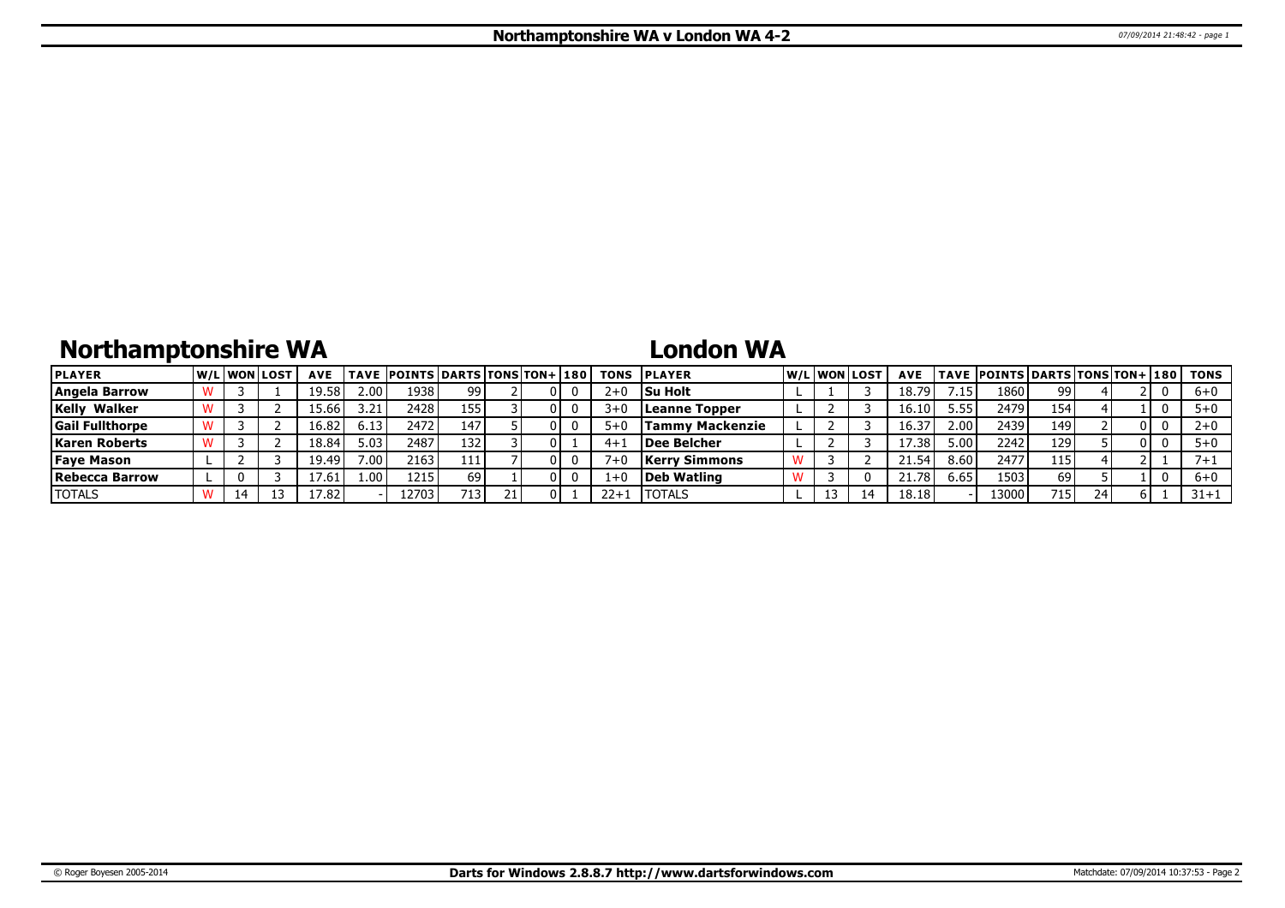# **Northamptonshire WA**

## **London WA**

| <b>PLAYER</b>          |    | <b>W/Liwonilost</b> | <b>AVE</b> |      | <b>TAVE POINTS DARTS TONS TON+ 180</b> |     |  |          | <b>TONS IPLAYER</b>  |  | W/L WON LOST | <b>AVE</b> |                   | <b>TAVE POINTS DARTS TONS TON+ 180</b> |                  |    |    |    | TONS     |
|------------------------|----|---------------------|------------|------|----------------------------------------|-----|--|----------|----------------------|--|--------------|------------|-------------------|----------------------------------------|------------------|----|----|----|----------|
| Angela Barrow          |    |                     | 19.58      | 2.00 | 1938                                   | 99  |  | $2 + C$  | <b>Su Holt</b>       |  |              | 18.79      |                   | 1860                                   | 99               |    |    | -0 | $6 + 0$  |
| Walker<br>Kelly        |    |                     | 15.66      | 3.21 | 2428 l                                 | 155 |  | $3 + C$  | Leanne Topper        |  |              | 16.10      | 5.55              | 2479                                   | 154              |    |    |    | $5+0$    |
| <b>Gail Fullthorpe</b> |    |                     | 16.82      | 6.13 | 2472                                   | 147 |  | $5 + C$  | Tammv Mackenzie      |  |              | 16.37      | 2.00 <sup>1</sup> | 2439                                   | 149              |    |    |    | $2+0$    |
| <b>Karen Roberts</b>   |    |                     | 18.84      | 5.03 | 2487                                   | 132 |  | $4 + 1$  | <b>IDee Belcher</b>  |  |              | 17.38      | 5.00 <sub>1</sub> | 2242                                   | 129              |    | 01 |    | $5+0$    |
| <b>Faye Mason</b>      |    |                     | 19.49      | 7.00 | 2163                                   | 111 |  |          | <b>Kerry Simmons</b> |  |              | 21.54      | 8.60              | 2477                                   | 115              |    |    |    | $7 + 1$  |
| Rebecca Barrow         |    |                     | 7.61       | 1.00 | 1215                                   | 69  |  |          | Deb Watling          |  |              | 21.78      | 6.65              | 1503                                   | 69               |    |    |    | $6 + 0$  |
| <b>TOTALS</b>          | 14 |                     | 17.82.     |      | .2703                                  | 713 |  | $22 + 1$ | <b>ITOTALS</b>       |  |              | 18.18      |                   | 13000                                  | 715 <sub>1</sub> | 24 |    |    | $31 + 1$ |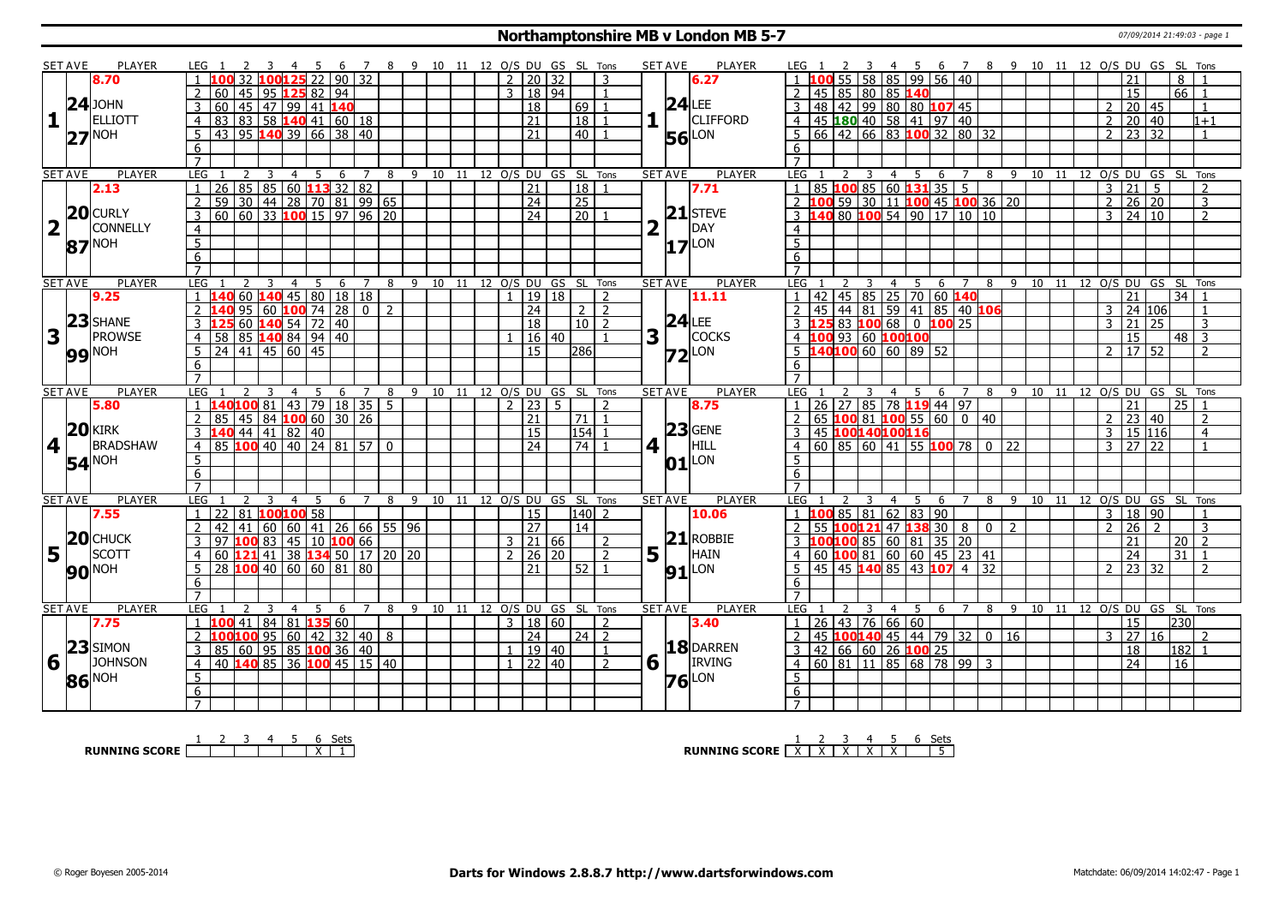#### **Northamptonshire MB v London MB 5-7** 07/09/2014 21:49:03 - page 1

|                | <b>SET AVE</b>  | PLAYER            | LEG 1                                          |                       | 5<br>6 <sup>6</sup> |                |                |         | 7 8 9 10 11 12 O/S DU GS SL Tons |                     |             |                      | <b>SET AVE</b> | PLAYER                          | 4 5 6 7 8 9 10 11 12 O/S DU GS SL Tons<br>LEG 1<br>$\overline{\mathbf{3}}$                                                                                                                                          |
|----------------|-----------------|-------------------|------------------------------------------------|-----------------------|---------------------|----------------|----------------|---------|----------------------------------|---------------------|-------------|----------------------|----------------|---------------------------------|---------------------------------------------------------------------------------------------------------------------------------------------------------------------------------------------------------------------|
|                |                 | 8.70              | 32                                             | 125/22                |                     | $\sqrt{90}$ 32 |                |         |                                  | $2 \mid 20 \mid 32$ |             | 3                    |                | 6.27                            | $1 \overline{100}$ 55 58 85 99 56 40<br>8                                                                                                                                                                           |
|                |                 |                   | 60                                             | 45   95   125 82   94 |                     |                |                |         |                                  | 3   18   94         |             | $\overline{1}$       |                |                                 | 2 45 85 80 85 140<br>$66$   1<br>15                                                                                                                                                                                 |
|                |                 | $24$ JOHN         | 60 45 47 99 41 140<br>3                        |                       |                     |                |                |         |                                  | $\overline{18}$     |             | 69<br>$\overline{1}$ |                | $24$ LEE                        | 3   48   42   99   80   80   107   45<br>20   45<br>$\overline{2}$<br>$\overline{1}$                                                                                                                                |
|                |                 | <b>ELLIOTT</b>    | 83 83 58 140 41 60 18<br>$\overline{4}$        |                       |                     |                |                |         |                                  | $\overline{21}$     |             | 18                   |                | <b>CLIFFORD</b>                 | 4   45   180   40   58   41   97   40<br>20 40<br>$\overline{2}$<br>$1 + 1$                                                                                                                                         |
|                |                 | <b>NOH</b>        | 43 95 140 39 66 38 40<br>5                     |                       |                     |                |                |         |                                  | 21                  |             | 40 l                 |                | <b>56</b> LON                   | 5 66 42 66 83 100 32 80 32<br>23 32<br>$\mathcal{P}$<br>$\overline{1}$                                                                                                                                              |
|                | 27              |                   | 6                                              |                       |                     |                |                |         |                                  |                     |             |                      |                |                                 | 6                                                                                                                                                                                                                   |
|                |                 |                   | $\overline{7}$                                 |                       |                     |                |                |         |                                  |                     |             |                      |                |                                 | $\overline{7}$                                                                                                                                                                                                      |
|                | <b>SET AVE</b>  | PLAYER            | LEG<br>2                                       | 3<br>$\overline{4}$   | 5<br>6              | 7              | 8              |         | 9 10 11 12 O/S DU GS SL Tons     |                     |             |                      | <b>SET AVE</b> | <b>PLAYER</b>                   | LEG<br>8 9 10 11 12 0/S DU GS SL Tons<br>2<br>4<br>- 5<br>6<br>7                                                                                                                                                    |
|                |                 | 2.13              | $\overline{1}$                                 |                       |                     |                |                |         |                                  | $\overline{21}$     |             | 18                   |                | 7.71                            | $\overline{85}$ 100 $\overline{85}$ 60 131 35 5<br>$\overline{3}$<br>$\overline{21}$<br>$\overline{1}$<br>5 <sup>5</sup><br>$\overline{2}$                                                                          |
|                |                 |                   | 2                                              |                       |                     |                |                |         |                                  | $\overline{24}$     |             | $\overline{25}$      |                |                                 | $\overline{2}$<br>$26 \mid 20$<br>$\overline{3}$                                                                                                                                                                    |
|                |                 | 20 CURLY          | $\overline{3}$                                 |                       |                     |                |                |         |                                  | $\overline{24}$     |             | $\overline{20}$      |                | $21$ STEVE                      | 2 100 59 30 11 100 45 100 36 20<br>3 140 80 100 54 90 17 10 10<br>$\overline{24}$ 10<br>3<br>$\overline{z}$                                                                                                         |
|                | 2 <sup>T</sup>  | <b>CONNELLY</b>   | $\overline{4}$                                 |                       |                     |                |                |         |                                  |                     |             |                      | 2              | DAY                             | $\overline{4}$                                                                                                                                                                                                      |
|                |                 |                   | $\overline{5}$                                 |                       |                     |                |                |         |                                  |                     |             |                      |                |                                 | $\overline{5}$                                                                                                                                                                                                      |
|                |                 | 87 <sup>NOH</sup> | 6                                              |                       |                     |                |                |         |                                  |                     |             |                      |                | $17$ <sup>LON</sup>             | 6                                                                                                                                                                                                                   |
|                |                 |                   |                                                |                       |                     |                |                |         |                                  |                     |             |                      |                |                                 |                                                                                                                                                                                                                     |
|                | <b>SET AVE</b>  | PLAYER            | LEG<br>2                                       | 3<br>$\overline{4}$   | $\overline{5}$<br>6 | $\overline{7}$ |                |         | 8 9 10 11 12 0/S DU              |                     |             | GS SL Tons           | <b>SET AVE</b> | <b>PLAYER</b>                   | 4 5 6 7<br>8 9 10 11 12 0/S DU GS SL Tons<br>LEG<br>$\overline{\mathbf{3}}$                                                                                                                                         |
|                |                 | 9.25              | 1406014045801818                               |                       |                     |                |                |         |                                  | 19 18               |             | $\overline{2}$       |                | 11.11                           | 42 45 85 25 70 60 140<br>21<br>34                                                                                                                                                                                   |
|                |                 |                   |                                                | $95 60 $ 100 74 28 0  |                     |                | l 2            |         |                                  | $\overline{24}$     |             | $2 \mid 2$           |                |                                 | 3                                                                                                                                                                                                                   |
|                | 23              | <b>SHANE</b>      |                                                |                       |                     |                |                |         |                                  | $\overline{18}$     |             | $10\overline{2}$     |                | $24$ LEE                        | 2 45 44 81 59 41 85 40 106<br>3 125 83 100 68 0 100 25<br>24 106<br>21<br>$\overline{25}$<br>$\mathcal{E}$<br>3                                                                                                     |
|                | $3\sqrt{1}$     | PROWSE            | <b>125</b> 60 <b>140</b> 54 72 40<br>3         |                       |                     |                |                |         |                                  |                     |             |                      |                | <b>COCKS</b>                    | 4 100 93 60 100 100                                                                                                                                                                                                 |
|                |                 |                   | $\overline{4}$                                 |                       |                     |                |                |         |                                  | 16 40               |             |                      | $3\sqrt{1}$    |                                 | $48$ 3<br>15                                                                                                                                                                                                        |
|                |                 | <b>99 NOH</b>     | $5 \ 24 \ 41 \ 45 \ 60 \ 45$                   |                       |                     |                |                |         |                                  | 15 <sub>1</sub>     |             | 286                  |                | $Z2$ LON                        | $5\ \ 140100\ 60\ \ 60\ \ 89\ \ 52$<br>17 52<br>2 <sup>1</sup><br>$\overline{2}$                                                                                                                                    |
|                |                 |                   | 6                                              |                       |                     |                |                |         |                                  |                     |             |                      |                |                                 | 6                                                                                                                                                                                                                   |
|                |                 |                   | $\overline{7}$                                 |                       |                     |                |                |         |                                  |                     |             |                      |                |                                 | $\overline{7}$                                                                                                                                                                                                      |
|                | <b>SET AVE</b>  | <b>PLAYER</b>     | LEG                                            | $\overline{4}$        | 5<br>6              | $\overline{7}$ | 8              |         | 9 10 11 12 O/S DU GS SL Tons     |                     |             |                      | <b>SET AVE</b> | <b>PLAYER</b>                   | LEG<br>4 5<br>89<br>12 O/S DU GS SL Tons<br>- 6<br>$\overline{7}$<br>10 11                                                                                                                                          |
|                |                 |                   |                                                |                       |                     |                |                |         |                                  |                     |             |                      |                |                                 |                                                                                                                                                                                                                     |
|                |                 | 5.80              | 140100 81 43 79 18 35<br>$\overline{1}$        |                       |                     |                | 5 <sup>7</sup> |         |                                  | 2 23                | $5^{\circ}$ | $\mathcal{D}$        |                | 8.75                            | $1 \mid 26 \mid 27 \mid 85 \mid 78 \mid 119 \mid 44 \mid 97$<br>$25$   1<br>21                                                                                                                                      |
|                |                 |                   | $85 \mid 45 \mid 84$ 100 60 30 26              |                       |                     |                |                |         |                                  | 21                  |             | 71                   |                |                                 | $\begin{array}{ c c c c c c c c c } \hline \multicolumn{1}{ c }{65} & \textbf{100} & \textbf{81} & \textbf{100} & \textbf{55} & \textbf{60} & \textbf{0} \ \hline \end{array}$<br>23<br> 40<br>40<br>$\overline{2}$ |
|                |                 | $20$ <b>KIRK</b>  |                                                |                       |                     |                |                |         |                                  | 15                  |             | 154                  |                | $23$ GENE                       | 45 100140100116<br>15 116<br>3<br>$\overline{4}$                                                                                                                                                                    |
| 4 <sup>1</sup> |                 | <b>BRADSHAW</b>   | 3 140 44 41 82 40<br>4 85 100 40 40 24 81 57 0 |                       |                     |                |                |         |                                  | 24                  |             | $\overline{24}$      | 4 1            | HILL                            | $4   60   85   60   41   55   100   78   0   22$<br>$27 \overline{22}$<br>$\overline{3}$                                                                                                                            |
|                |                 |                   | 5                                              |                       |                     |                |                |         |                                  |                     |             |                      |                |                                 | $5^{\circ}$                                                                                                                                                                                                         |
|                |                 | 54 <sup>NOH</sup> | 6                                              |                       |                     |                |                |         |                                  |                     |             |                      |                | $ 01 $ LON                      | 6                                                                                                                                                                                                                   |
|                |                 |                   | $\overline{7}$                                 |                       |                     |                |                |         |                                  |                     |             |                      |                |                                 | $\overline{7}$                                                                                                                                                                                                      |
|                | <b>SET AVE</b>  | PLAYER            | <b>LEG</b><br>$\overline{2}$                   | 3<br>$\overline{4}$   | - 5<br>6            | $\overline{7}$ | 8              | 9       | 10 11 12 O/S DU GS SL Tons       |                     |             |                      | <b>SET AVE</b> | PLAYER                          | <b>LEG</b><br>89<br>10 11 12 O/S DU GS SL Tons<br>3<br>4<br>5<br>- 6<br>$\overline{7}$                                                                                                                              |
|                |                 | 7.55              | $1 \mid 22 \mid 81 \mid 100 \mid 100 \mid 58$  |                       |                     |                |                |         |                                  | 15                  |             | $140$   2            |                | 10.06                           | 1 <b>100</b> 85 81 62 83 90<br>18 90<br>3                                                                                                                                                                           |
|                |                 |                   | $\overline{2}$<br>41<br>  42                   |                       |                     |                |                |         |                                  | $\overline{27}$     |             | $\overline{14}$      |                |                                 | 2 55 100121 47 138 30 8 0 2<br>$\overline{26}$<br>$\overline{3}$<br>$\overline{2}$<br>$\overline{2}$                                                                                                                |
|                |                 | <b>CHUCK</b>      | 97 100 83 45 10 100 66<br>$\overline{3}$       |                       |                     |                |                |         |                                  | $3 \mid 21 \mid 66$ |             | $\overline{2}$       |                | $21$ ROBBIE                     | 3 100100 85 60 81 35 20<br>21<br>20 <sup>1</sup><br>$\sqrt{2}$                                                                                                                                                      |
|                |                 | <b>SCOTT</b>      | $\overline{60}$ 121 41 38 134 50 17 20 20      |                       |                     |                |                |         |                                  | $2 \mid 26 \mid 20$ |             | $\overline{2}$       | $5^{1}$        | HAIN                            | $4   60   100   81   60   60   45   23   41$<br>31<br>24<br>$\overline{\phantom{0}}$                                                                                                                                |
|                | $5\frac{20}{1}$ |                   | $\sqrt{28}$ 100 40 60 60 81 80<br>5            |                       |                     |                |                |         |                                  | 21                  |             | 52 <sub>1</sub>      |                |                                 | $145$ 45 140 85 43 107 4<br>$\overline{32}$<br>23 32<br>$5^{\circ}$<br>$\overline{2}$<br>$\overline{2}$                                                                                                             |
|                |                 | <b>90 NOH</b>     | 6                                              |                       |                     |                |                |         |                                  |                     |             |                      |                | $91$ <sup>LON</sup>             | 6                                                                                                                                                                                                                   |
|                |                 |                   |                                                |                       |                     |                |                |         |                                  |                     |             |                      |                |                                 |                                                                                                                                                                                                                     |
|                | <b>SET AVE</b>  | PLAYER            | LEG                                            |                       | .5.<br>6            | $\overline{7}$ | 8              | 9<br>10 | 11                               |                     |             | 12 O/S DU GS SL Tons |                | <b>SET AVE</b><br><b>PLAYER</b> | 10 11 12 0/S DU GS SL Tons<br>LEG<br>9<br>8<br>4<br>-5<br>6<br>7                                                                                                                                                    |
|                |                 | 7.75              | $1 \ 100 \ 41$                                 | 84 81 135 60          |                     |                |                |         |                                  | 3   18   60         |             | $\mathcal{L}$        |                | 3.40                            | $1 \mid 26 \mid 43 \mid 76 \mid 66 \mid 60$<br>15<br> 230                                                                                                                                                           |
|                |                 |                   | $100100$ 95 60 42 32 40 8<br>2                 |                       |                     |                |                |         |                                  | $\overline{24}$     |             | 24 2                 |                |                                 | 2 45 100140 45 44 79 32 0 16<br>$\overline{27}$<br>3<br><sup>16</sup><br>$\mathcal{P}$                                                                                                                              |
|                |                 | $23$ SIMON        | 85 60 95 85 100 36 40<br>$\overline{3}$        |                       |                     |                |                |         |                                  | 1   19   40         |             | -1                   |                | 18 DARREN                       | 3   42   66   60   26   100   25<br>18<br> 182 1                                                                                                                                                                    |
| 6 <sup>1</sup> |                 | <b>JOHNSON</b>    | 40 140 85 36 100 45 15 40<br>$\overline{4}$    |                       |                     |                |                |         |                                  | $1 \mid 22 \mid 40$ |             | $\overline{2}$       | $6\sqrt{ }$    | <b>IRVING</b>                   | 4 60 81 11 85 68 78 99 3<br>$\overline{24}$<br>16                                                                                                                                                                   |
|                |                 | Noh               | 5                                              |                       |                     |                |                |         |                                  |                     |             |                      |                |                                 | 5                                                                                                                                                                                                                   |
|                | 86              |                   | 6                                              |                       |                     |                |                |         |                                  |                     |             |                      |                | $76$ <sup>LON</sup>             | 6                                                                                                                                                                                                                   |

**RUNNING SCORE** 1 2 3 4 5 6 X Sets 1

**RUNNING SCORE**  $\begin{array}{|c|c|c|c|c|}\n\hline\n & 2 & 3 & 4 & 5 & 6 & \text{Sets} \\
\hline\n\end{array}$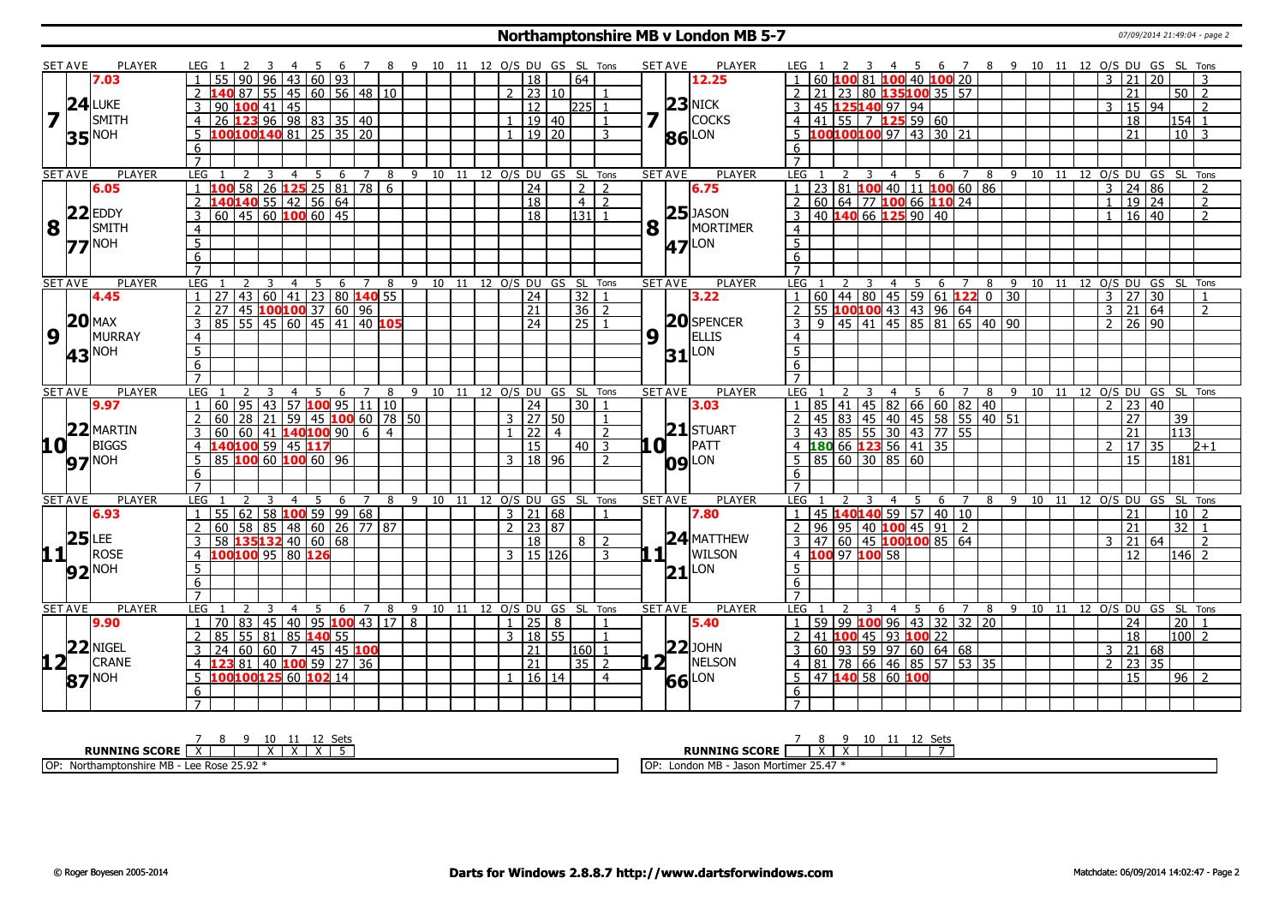#### **Northamptonshire MB v London MB 5-7** 07/09/2014 21:49:04 - page 2

|        | <b>SET AVE</b>     | PLAYER                   | LEG 1<br>3                                                                          | 4 5 6 7 8 9 10 11 12 O/S DU GS SL Tons |                                  |        |                              |                      |       |                 |                 | <b>SET AVE</b> | <b>PLAYER</b>       | LEG 1                                                                                                                                                     | 2 3 4 5 6 7 8 9 10 11 12 O/S DU GS SL Tons |       |   |  |  |                                  |              |                                    |                |
|--------|--------------------|--------------------------|-------------------------------------------------------------------------------------|----------------------------------------|----------------------------------|--------|------------------------------|----------------------|-------|-----------------|-----------------|----------------|---------------------|-----------------------------------------------------------------------------------------------------------------------------------------------------------|--------------------------------------------|-------|---|--|--|----------------------------------|--------------|------------------------------------|----------------|
|        |                    | 7.03                     | $\overline{96}$<br>55   90                                                          | 43 60 93                               |                                  |        |                              | $\overline{18}$      |       | 64              |                 |                | 12.25               | 60 100 81 100 40 100 20                                                                                                                                   |                                            |       |   |  |  | 3<br>21                          | 20           |                                    |                |
|        |                    |                          | 40 87 55 45 60 56 48 10                                                             |                                        |                                  |        |                              | $2 \mid 23 \mid 10$  |       |                 |                 |                |                     | 21 23 80 135100 35 57                                                                                                                                     |                                            |       |   |  |  | 21                               |              | $50$   2                           |                |
|        |                    | 24 LUKE                  | $90$ 100 41 45<br>3                                                                 |                                        |                                  |        |                              | $\overline{12}$      |       | 225             | $\mathbf{1}$    |                |                     | 45 125140 97 94                                                                                                                                           |                                            |       |   |  |  | 3                                | 15 94        | $\overline{2}$                     |                |
|        |                    | SMITH                    | 26 123 96 98 83 35 40<br>$\overline{4}$                                             |                                        |                                  |        |                              |                      | 19 40 |                 |                 |                | 23 NICK<br>COCKS    | $\overline{4}$                                                                                                                                            |                                            |       |   |  |  | 18                               |              | $154$ 1                            |                |
|        |                    | <b>35</b> <sup>NOH</sup> | 100100140 81 25 35 20<br>$5^{\circ}$                                                |                                        |                                  |        |                              | $1 \mid 19 \mid 20$  |       |                 | $\mathbf{R}$    |                | 86 LON              | 100100100 97 43 30 21<br>$5^{\circ}$                                                                                                                      |                                            |       |   |  |  | 21                               |              | $101$ 3                            |                |
|        |                    |                          | 6                                                                                   |                                        |                                  |        |                              |                      |       |                 |                 |                |                     | 6                                                                                                                                                         |                                            |       |   |  |  |                                  |              |                                    |                |
|        |                    |                          | $\overline{7}$                                                                      |                                        |                                  |        |                              |                      |       |                 |                 |                |                     | $\overline{7}$                                                                                                                                            |                                            |       |   |  |  |                                  |              |                                    |                |
|        | <b>SET AVE</b>     | PLAYER                   | <b>LEG</b><br>-3<br>2<br>4                                                          | 5<br>- 6                               | 7                                | 8      | 9 10 11 12 O/S DU GS SL Tons |                      |       |                 |                 | <b>SET AVE</b> | PLAYER              | LEG<br>2                                                                                                                                                  | 3                                          | 4 5 6 | 7 |  |  |                                  |              | 8 9 10 11 12 O/S DU GS SL Tons     |                |
|        |                    | 6.05                     | 58<br>$\mathbf{1}$                                                                  | 26 125 25 81 78 6                      |                                  |        |                              | $\overline{24}$      |       |                 | $2 \mid 2$      |                | 6.75                | 23 81 100 40 11 100 60 86                                                                                                                                 |                                            |       |   |  |  | $\overline{3}$                   | 24 86        |                                    | $\overline{2}$ |
|        |                    |                          | 140140 55 42 56 64<br>$\overline{2}$                                                |                                        |                                  |        |                              | $\overline{18}$      |       |                 | $4\overline{2}$ |                |                     | 60 64 77 100 66 110 24<br>$\overline{2}$                                                                                                                  |                                            |       |   |  |  | $\mathbf{1}$                     | $19$ 24      |                                    | $\overline{2}$ |
|        |                    | $22$ EDDY                | $\boxed{60}$ 45 60 100 60 45<br>$\overline{3}$                                      |                                        |                                  |        |                              | $\overline{18}$      |       | 131             |                 |                | $25$ JASON          | 40 140 66 125 90 40<br>3                                                                                                                                  |                                            |       |   |  |  |                                  | $16 \mid 40$ |                                    | $\overline{2}$ |
|        | 8                  | SMITH                    | $\overline{4}$                                                                      |                                        |                                  |        |                              |                      |       |                 |                 | $8\sqrt{1}$    | MORTIMER            | $\overline{4}$                                                                                                                                            |                                            |       |   |  |  |                                  |              |                                    |                |
|        |                    | $77$ <sup>NOH</sup>      | $\overline{5}$                                                                      |                                        |                                  |        |                              |                      |       |                 |                 |                | <b>47</b> LON       | $\overline{5}$                                                                                                                                            |                                            |       |   |  |  |                                  |              |                                    |                |
|        |                    |                          | 6                                                                                   |                                        |                                  |        |                              |                      |       |                 |                 |                |                     | $6\overline{6}$                                                                                                                                           |                                            |       |   |  |  |                                  |              |                                    |                |
|        |                    |                          | $\overline{7}$                                                                      |                                        |                                  |        |                              |                      |       |                 |                 |                |                     |                                                                                                                                                           |                                            |       |   |  |  |                                  |              |                                    |                |
|        | <b>SET AVE</b>     | <b>PLAYER</b>            | <b>LEG</b><br>$\overline{4}$<br>2<br>$\overline{\mathbf{3}}$                        | 5 6 7 8 9 10 11 12 O/S DU GS SL Tons   |                                  |        |                              |                      |       |                 |                 | <b>SET AVE</b> | <b>PLAYER</b>       |                                                                                                                                                           |                                            |       |   |  |  |                                  |              |                                    |                |
|        |                    | 4.45                     | 43 60 41 23 80 140 55<br>$1 \mid 27 \mid$                                           |                                        |                                  |        |                              | $\overline{24}$      |       | 32 1            |                 |                | 3.22                | <u>LEG 1 2 3 4 5 6 7 8 9 10 11 12 0/5 DU GS SL TOns</u><br>1 60 44 80 45 59 61 <b>122</b> 0 30 30 327 30 1<br>2 55 <b>100 100</b> 43 43 96 64 3 3 21 64 2 |                                            |       |   |  |  |                                  |              |                                    |                |
|        |                    |                          | 45 100100 37 60 96<br>2<br>27                                                       |                                        |                                  |        |                              | 21                   |       | $36 \mid 2$     |                 |                |                     |                                                                                                                                                           |                                            |       |   |  |  |                                  |              |                                    |                |
|        |                    | $20$ MAX                 | 85 55 45 60 45 41 40 105<br>$\overline{3}$                                          |                                        |                                  |        |                              | $\overline{24}$      |       | $\overline{25}$ |                 |                | <b>20</b> SPENCER   | $\overline{3}$<br>$\mathsf{q}$                                                                                                                            | 45 41 45 85 81 65 40 90                    |       |   |  |  | $2 \ 26 \ 90$                    |              |                                    |                |
|        | 9                  | MURRAY                   | $\overline{4}$                                                                      |                                        |                                  |        |                              |                      |       |                 |                 | $9\sqrt{1}$    | <b>ELLIS</b>        | $\overline{4}$                                                                                                                                            |                                            |       |   |  |  |                                  |              |                                    |                |
|        |                    |                          | $\overline{5}$                                                                      |                                        |                                  |        |                              |                      |       |                 |                 |                | $31$ <sup>LON</sup> | $\overline{5}$                                                                                                                                            |                                            |       |   |  |  |                                  |              |                                    |                |
|        |                    | 43 <sup>NOH</sup>        | 6                                                                                   |                                        |                                  |        |                              |                      |       |                 |                 |                |                     | 6                                                                                                                                                         |                                            |       |   |  |  |                                  |              |                                    |                |
|        |                    |                          | $\overline{7}$                                                                      |                                        |                                  |        |                              |                      |       |                 |                 |                |                     |                                                                                                                                                           |                                            |       |   |  |  |                                  |              |                                    |                |
|        | <b>SET AVE</b>     | <b>PLAYER</b>            | <b>LEG</b><br>3<br>$\overline{4}$                                                   | 5<br>6                                 | 7                                | 8<br>9 | 10 11 12 O/S DU GS SL Tons   |                      |       |                 |                 | <b>SET AVE</b> | <b>PLAYER</b>       | LEG                                                                                                                                                       |                                            | 4 5   |   |  |  |                                  |              | 6 7 8 9 10 11 12 O/S DU GS SL Tons |                |
|        |                    | 9.97                     | $\sqrt{95}$<br>60<br>$\overline{1}$                                                 | 43   57   100 95   11                  | $\overline{10}$                  |        |                              | $\overline{24}$      |       | 30              |                 |                | 3.03                | 85                                                                                                                                                        | 41   45   82   66   60   82   40           |       |   |  |  | $\overline{23}$<br>$\mathcal{L}$ | 40           |                                    |                |
|        |                    |                          | 2<br>60<br> 28 <br> 21                                                              | 59   45 <mark>100</mark> 60   78   50  |                                  |        |                              | $3 \mid 27 \mid 50$  |       |                 | $\mathbf{1}$    |                |                     | 2                                                                                                                                                         |                                            |       |   |  |  | 27                               |              | 39                                 |                |
|        | 22                 | <b>MARTIN</b>            | $\boxed{60}$ $\boxed{60}$ $\boxed{41}$ <b>140100</b> 90 $\boxed{6}$<br>$\mathbf{3}$ |                                        | $\overline{4}$                   |        |                              | $1 \mid 22 \mid 4$   |       |                 | $\overline{2}$  |                | $21$ STUART         | $\frac{135}{45}$   83   45   46   45   58   55   40   51<br>  43   85   55   30   43   77   55  <br>$\mathbf{3}$                                          |                                            |       |   |  |  | 21                               |              | 113                                |                |
| $10^+$ |                    | <b>BIGGS</b>             | 140100 59 45 117<br>$\overline{4}$                                                  |                                        |                                  |        |                              | 15                   |       |                 | $140$ 3         | $\mathbf{0}$ i | PATT                | 4 180 66 123 56 41 35                                                                                                                                     |                                            |       |   |  |  | 17<br>$\mathcal{P}$              | 35           |                                    | $2 + 1$        |
|        |                    | 97 <sup>NOH</sup>        | $ 85 $ 100 60 100 60 96<br>5 <sup>5</sup>                                           |                                        |                                  |        |                              | 3 18 96              |       |                 | $\mathcal{L}$   |                | $\log$ LON          | 5   85   60   30   85   60                                                                                                                                |                                            |       |   |  |  | 15                               |              | 181                                |                |
|        |                    |                          | 6                                                                                   |                                        |                                  |        |                              |                      |       |                 |                 |                |                     | 6                                                                                                                                                         |                                            |       |   |  |  |                                  |              |                                    |                |
|        |                    |                          | $\overline{7}$                                                                      |                                        |                                  |        |                              |                      |       |                 |                 |                |                     | $\overline{7}$                                                                                                                                            |                                            |       |   |  |  |                                  |              |                                    |                |
|        | <b>SET AVE</b>     | PLAYER                   | <b>LEG</b><br>$\overline{4}$                                                        | 5<br>6                                 | 7 8 9 10 11 12 O/S DU GS SL Tons |        |                              |                      |       |                 |                 | <b>SET AVE</b> | <b>PLAYER</b>       | LEG                                                                                                                                                       |                                            | 4 5   |   |  |  |                                  |              | 6 7 8 9 10 11 12 0/S DU GS SL Tons |                |
|        |                    | 6.93                     | 5562<br>$\overline{1}$                                                              | 58   100 59   99   68                  |                                  |        |                              | 3   21   68          |       |                 | $\mathbf{1}$    |                | 7.80                | 45 140140 59 57 40 10<br>$\vert$ 1                                                                                                                        |                                            |       |   |  |  | 21                               |              | 10 <sup>1</sup><br>$\overline{z}$  |                |
|        | 11 <sup> 25 </sup> |                          | 58 85 48 60 26 77 87<br>2<br>60                                                     |                                        |                                  |        |                              | $2 \mid 23 \mid 87$  |       |                 |                 |                |                     | 2   96   95   40   100   45   91   2                                                                                                                      |                                            |       |   |  |  | $\overline{21}$                  |              | 32<br>$\overline{1}$               |                |
|        |                    | LEE                      | 58 135132 40 60 68<br>3                                                             |                                        |                                  |        |                              | $\overline{18}$      |       |                 | $8\sqrt{2}$     |                | $24$ MATTHEW        | $3   47   60   45   100   100   85   64$                                                                                                                  |                                            |       |   |  |  | 21 <br>$\mathbf{R}$              | 64           |                                    | $\overline{2}$ |
|        |                    | ROSE                     | 100100 95 80 126<br>$\overline{4}$                                                  |                                        |                                  |        |                              | $3 \mid 15 \mid 126$ |       |                 | 3               | . 1 I          | WILSON              | 4 100 97 100 58                                                                                                                                           |                                            |       |   |  |  | 12                               |              | 146 l2                             |                |
|        |                    | 92 <sup>NOH</sup>        | 5                                                                                   |                                        |                                  |        |                              |                      |       |                 |                 | 21             | LON                 | 5                                                                                                                                                         |                                            |       |   |  |  |                                  |              |                                    |                |
|        |                    |                          | 6                                                                                   |                                        |                                  |        |                              |                      |       |                 |                 |                |                     | 6                                                                                                                                                         |                                            |       |   |  |  |                                  |              |                                    |                |
|        |                    |                          |                                                                                     |                                        |                                  |        |                              |                      |       |                 |                 |                |                     |                                                                                                                                                           |                                            |       |   |  |  |                                  |              |                                    |                |
|        | <b>SET AVE</b>     | PLAYER                   | LEG                                                                                 | 4 5                                    | 6 7                              | 8      | 9 10 11 12 O/S DU GS SL Tons |                      |       |                 |                 | <b>SET AVE</b> | <b>PLAYER</b>       | <b>LEG</b>                                                                                                                                                |                                            | 4 5   |   |  |  |                                  |              | 6 7 8 9 10 11 12 0/S DU GS SL Tons |                |
|        |                    | 9.90                     | 70 83 45 40 95 100 43 17<br>$\overline{1}$                                          |                                        |                                  | 8      |                              | $1 \mid 25 \mid 8$   |       |                 |                 |                | 5.40                | 59 99 100 96 43 32 32 20                                                                                                                                  |                                            |       |   |  |  | 24                               |              | 20 <sup>1</sup>                    |                |
|        |                    |                          | $\overline{85}$ 55 81 85 140 55<br>$\overline{2}$                                   |                                        |                                  |        |                              | $\mathbf{3}$         | 18 55 |                 |                 |                |                     | 41                                                                                                                                                        | 100 45 93 100 22                           |       |   |  |  | 18                               |              | 100 2                              |                |
|        |                    | $22$ NIGEL               | 24 60 60 7 45 45 100<br>3                                                           |                                        |                                  |        |                              | 21                   |       | 160             | $\overline{1}$  |                | $ 22 $ JOHN         | $60$ 93 59 97 60 64 68                                                                                                                                    |                                            |       |   |  |  | 3                                | 21 68        |                                    |                |
| $12 -$ |                    | <b>CRANE</b>             | 81 40 100 59 27 36<br>$\overline{4}$                                                |                                        |                                  |        |                              | 21                   |       | 35 2            |                 | 2 <sub>1</sub> | NELSON              | 4 81 78 66 46 85 57 53 35                                                                                                                                 |                                            |       |   |  |  | $\mathcal{P}$                    | 23 35        |                                    |                |
|        |                    | 87 <sup>NOH</sup>        | 100100125 60 102 14<br>5                                                            |                                        |                                  |        |                              |                      | 16 14 |                 | $\overline{4}$  |                | 66 LON              | 47 140 58 60 100<br>.5.                                                                                                                                   |                                            |       |   |  |  | 15                               |              | $96$   2                           |                |
|        |                    |                          | 6                                                                                   |                                        |                                  |        |                              |                      |       |                 |                 |                |                     | 6                                                                                                                                                         |                                            |       |   |  |  |                                  |              |                                    |                |
|        |                    |                          | $\overline{7}$                                                                      |                                        |                                  |        |                              |                      |       |                 |                 |                |                     |                                                                                                                                                           |                                            |       |   |  |  |                                  |              |                                    |                |
|        |                    |                          |                                                                                     |                                        |                                  |        |                              |                      |       |                 |                 |                |                     |                                                                                                                                                           |                                            |       |   |  |  |                                  |              |                                    |                |

| <b>NG SCORE</b><br>RUNNING<br>$\cdot$                 | - 01<br><b>RUNNING SCORE</b><br>$\ddot{\phantom{1}}$<br>$\lambda$<br>$\lambda$                     |
|-------------------------------------------------------|----------------------------------------------------------------------------------------------------|
| $- - - -$<br>丶MB -<br>റാ<br>Rose<br>nshire<br>IVULUIG | $\cap$ $\cap$ $\cap$ $\cap$<br>l OF<br><b>MA</b><br>London ME<br>Jasor<br><u>ъд</u><br>MOLTIM<br>. |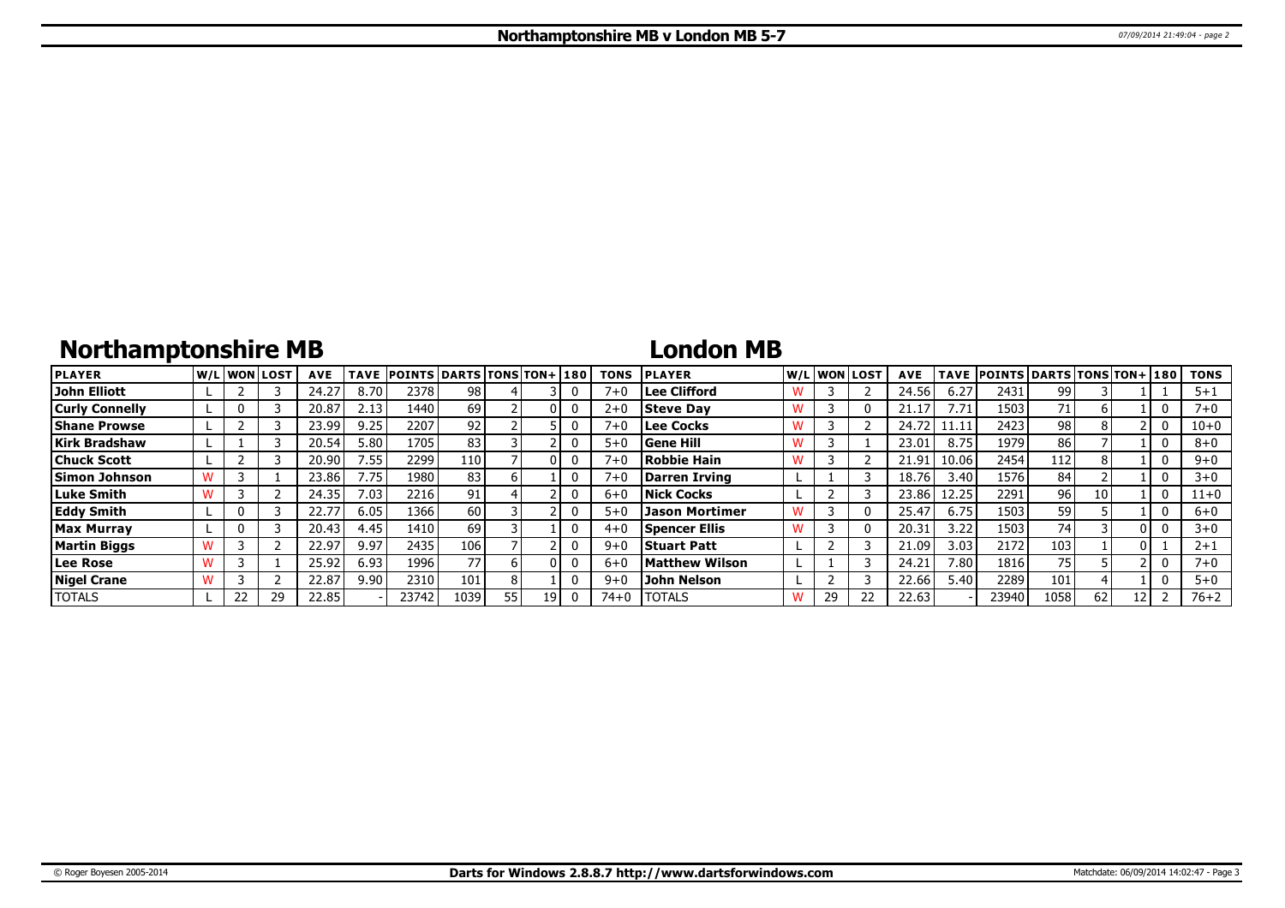# **Northamptonshire MB**

### **London MB**

| <b>PLAYER</b>         | lw/Llwonllost |    | <b>AVE</b> | TAVE  | <b>POINTS DARTS TONS TON+ 180</b> |      |    |    |   | TONS     | <b>PLAYER</b>         |   |    | W/Liwonilost! | <b>AVE</b> | <b>TAVE</b> | <b>POINTS DARTS TONS TON+ 180</b> |      |    |              | <b>TONS</b> |
|-----------------------|---------------|----|------------|-------|-----------------------------------|------|----|----|---|----------|-----------------------|---|----|---------------|------------|-------------|-----------------------------------|------|----|--------------|-------------|
| John Elliott          |               |    | 24.27      | 8.70  | 2378                              | 98   |    |    | 0 | $7 + 0$  | Lee Clifford          |   |    |               | 24.56      | 6.27        | 2431                              | 99   |    |              | $5 + 1$     |
| <b>Curly Connelly</b> |               |    | 20.87      | 2.13  | 1440                              | 69   |    |    | 0 | $2+0$    | <b>Steve Dav</b>      | w |    |               |            | 7.71        | 1503                              | 71.  | h  | 0            | $7 + 0$     |
| <b>Shane Prowse</b>   |               |    | 23.99      | 9.25  | 2207                              | 92   |    |    | 0 | $7 + 0$  | Lee Cocks             | W |    |               | 24.72      |             | 2423                              | 98 i |    | 0            | $10 + 0$    |
| <b>Kirk Bradshaw</b>  |               |    | 20.54      | 5.80  | 1705                              | 83   |    |    | 0 | $5 + 0$  | Gene Hill             |   |    |               | 23.01      | 8.75        | 1979                              | 86   |    |              | $8 + 0$     |
| <b>Chuck Scott</b>    |               |    | 20.90      | 7.55  | 2299                              | 110  |    |    | 0 | $7 + 0$  | Robbie Hain           | w |    |               | 21.91      | 10.06       | 2454                              | 112  |    | 0            | $9 + 0$     |
| Simon Johnson         |               |    | 23.86      | 7.75  | 1980                              | 83   |    |    | 0 | $7 + 0$  | Darren Irving         |   |    |               | 18.76      | 3.40        | 1576                              | 84   |    | 0            | $3 + 0$     |
| <b>Luke Smith</b>     |               |    | 24.35      | 7.03. | 2216                              | 91   |    |    | 0 | $6 + 0$  | Nick Cocks            |   |    |               | 23.86      | 12.25       | 2291                              | 961  | 10 | $\mathbf{0}$ | $11+0$      |
| <b>Eddy Smith</b>     |               |    | 22.77      | 6.05  | 1366                              | 60   |    |    | 0 | $5 + 0$  | <b>Jason Mortimer</b> |   |    |               | 25.47      | 6.75        | 1503                              | 59 l |    | 0            | $6 + 0$     |
| Max Murrav            |               |    | 20.43      | 4.45  | 1410                              | 69   |    |    | 0 | $4 + 0$  | <b>Spencer Ellis</b>  | W |    |               | 20.31      | 3.22        | 1503                              | 74 l |    |              | $3 + 0$     |
| <b>Martin Biggs</b>   |               |    | 22.97      | 9.97  | 2435                              | 106  |    |    | 0 | $9 + 0$  | <b>Stuart Patt</b>    |   |    |               | 21.09      | 3.03        | 2172                              | 103  |    |              | $2 + 1$     |
| Lee Rose              |               |    | 25.92      | 6.93  | 1996                              | 77   |    |    | 0 | 6+0      | Matthew Wilson        |   |    |               | 24.21      | 7.80        | 1816                              | 75   |    | 0            | $7 + 0$     |
| Nigel Crane           |               |    | 22.87      | 9.90  | 2310                              | 101  |    |    | 0 | $9 + 0$  | John Nelson           |   |    |               | 22.66      | 5.40        | 2289                              | 101  |    |              | $5 + 0$     |
| <b>TOTALS</b>         | 22            | 29 | 22.85      |       | 23742                             | 1039 | 55 | 19 | 0 | $74 + 0$ | <b>TOTALS</b>         | W | 29 |               | 22.63      |             | 23940                             | 1058 | 62 |              | $76 + 2$    |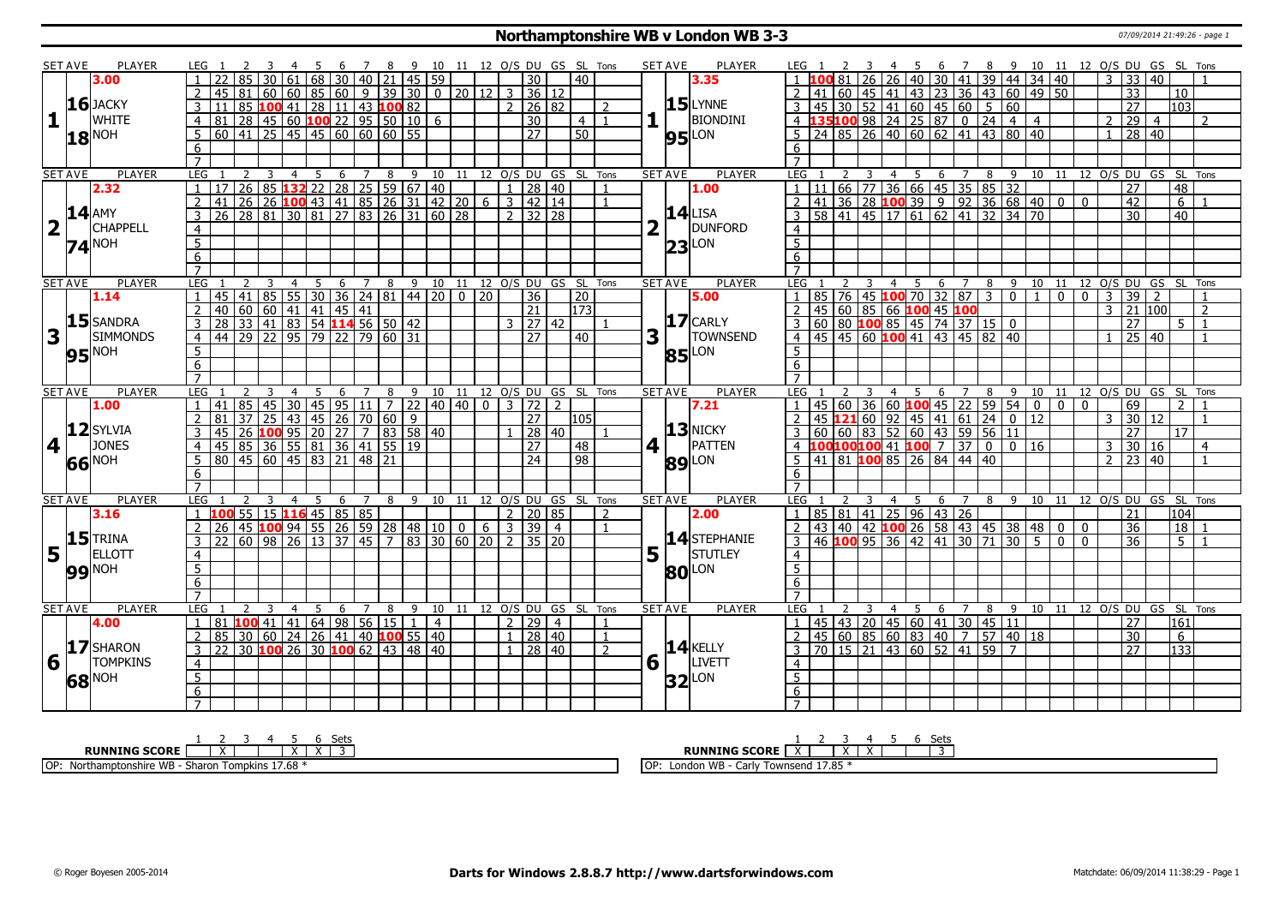### **Northamptonshire WB v London WB 3-3** 07/09/2014 21:49:26 - page 1

|                         | <b>SET AVE</b> | PLAYER            | LEG 1               |                                                                                          |          |                                                                                                                                                          | 456 |                  | 78             |                  | 9 10 11 12 O/S DU GS SL Tons   |                   |              |                              |                                  |                |                  |                          |   | <b>SET AVE</b><br><b>PLAYER</b> | LEG 1                            |    |                | 3                       |    | 45                                                                          |   |                |       |    | 6 7 8 9 10 11 12 O/S DU GS SL Tons                             |                |                |                |                |                 |                      |                 |                |
|-------------------------|----------------|-------------------|---------------------|------------------------------------------------------------------------------------------|----------|----------------------------------------------------------------------------------------------------------------------------------------------------------|-----|------------------|----------------|------------------|--------------------------------|-------------------|--------------|------------------------------|----------------------------------|----------------|------------------|--------------------------|---|---------------------------------|----------------------------------|----|----------------|-------------------------|----|-----------------------------------------------------------------------------|---|----------------|-------|----|----------------------------------------------------------------|----------------|----------------|----------------|----------------|-----------------|----------------------|-----------------|----------------|
|                         |                | 3.00              |                     |                                                                                          |          | 61                                                                                                                                                       | 68  |                  |                |                  | 30   40   21   45   59         |                   |              |                              | 30                               |                | 40               |                          |   | 3.35                            |                                  |    |                | 26                      | 26 |                                                                             |   |                |       |    | 40   30   41   39   44   34   40                               |                |                |                | 3              | 33 40           |                      |                 |                |
|                         |                |                   |                     | l 81<br>45                                                                               |          | 60 60 85 60 9 39 30 0 20 12 3 36 12                                                                                                                      |     |                  |                |                  |                                |                   |              |                              |                                  |                |                  |                          |   |                                 |                                  | 41 |                |                         |    |                                                                             |   |                |       |    | 60   45   41   43   23   36   43   60   49   50                |                |                |                |                | $\overline{33}$ |                      | 10              |                |
|                         |                | $16$ JACKY        | $\mathbf{3}$        |                                                                                          |          |                                                                                                                                                          |     |                  |                |                  |                                |                   |              |                              | 2   26   82                      |                |                  | $\overline{\phantom{a}}$ |   | $15$ LYNNE                      |                                  |    |                |                         |    |                                                                             |   |                |       |    |                                                                |                |                |                |                | $\overline{27}$ |                      | 103             |                |
| $\mathbf{1}$            |                | WHITE             | $\overline{4}$      | 81                                                                                       |          | <u>  85 <b>100</b> 41   28   11   43 <b>100</b> 82   28   45   60 <b>100</b> 22   95   50   10   6</u>                                                   |     |                  |                |                  |                                |                   |              |                              | $\overline{30}$                  |                | 4 I              | $\overline{1}$           |   | <b>BIONDINI</b>                 |                                  |    |                |                         |    |                                                                             |   |                |       |    |                                                                |                |                | 2              |                | $\overline{29}$ | $\overline{4}$       |                 | 2              |
|                         |                |                   |                     | 60                                                                                       |          | $\boxed{41}$ $\boxed{25}$ $\boxed{45}$ $\boxed{45}$ $\boxed{60}$ $\boxed{60}$ $\boxed{60}$ $\boxed{55}$                                                  |     |                  |                |                  |                                |                   |              |                              | $\overline{27}$                  |                | 50               |                          |   |                                 |                                  |    |                |                         |    | $5 \ 24 \ 85 \ 26 \ 40 \ 60 \ 62 \ 41 \ 43 \ 80 \ 40$                       |   |                |       |    |                                                                |                |                |                |                | 28   40         |                      |                 |                |
|                         |                | $18^{\text{NOH}}$ | 5                   |                                                                                          |          |                                                                                                                                                          |     |                  |                |                  |                                |                   |              |                              |                                  |                |                  |                          |   | <b>95</b> LON                   |                                  |    |                |                         |    |                                                                             |   |                |       |    |                                                                |                |                | $\overline{1}$ |                |                 |                      |                 |                |
|                         |                |                   | 6                   |                                                                                          |          |                                                                                                                                                          |     |                  |                |                  |                                |                   |              |                              |                                  |                |                  |                          |   |                                 | 6                                |    |                |                         |    |                                                                             |   |                |       |    |                                                                |                |                |                |                |                 |                      |                 |                |
|                         |                |                   | $\overline{7}$      |                                                                                          |          |                                                                                                                                                          |     |                  |                |                  |                                |                   |              |                              |                                  |                |                  |                          |   |                                 | $\overline{7}$                   |    |                |                         |    |                                                                             |   |                |       |    |                                                                |                |                |                |                |                 |                      |                 |                |
|                         | <b>SET AVE</b> | PLAYER            | LEG                 |                                                                                          |          | <u>2 3 4 5 6 7 8 9 10 11 12 0/5 DU GS SL Tons</u><br>26 85 <b>132</b> 22 28 25 59 67 40 1 1 28 40 1<br>26 26 <b>100</b> 43 41 85 26 31 42 20 6 3 42 14 1 |     |                  | $\overline{Z}$ |                  |                                |                   |              |                              |                                  |                |                  |                          |   | PLAYER<br><b>SET AVE</b>        | LEG                              |    | $\overline{2}$ | $\overline{\mathbf{3}}$ |    |                                                                             |   |                |       |    | 4 5 6 7 8 9 10 11 12 0/S DU GS SL Tons                         |                |                |                |                |                 |                      |                 |                |
|                         |                | 2.32              |                     |                                                                                          |          |                                                                                                                                                          |     |                  |                |                  |                                |                   |              |                              |                                  |                |                  |                          |   | 1.00                            |                                  |    |                |                         |    | $1 \mid 11 \mid 66 \mid 77 \mid 36 \mid 66 \mid 45 \mid 35 \mid 85 \mid 32$ |   |                |       |    |                                                                |                |                |                |                | $\overline{27}$ |                      | $\overline{48}$ |                |
|                         |                |                   | $\overline{2}$      | 41                                                                                       |          |                                                                                                                                                          |     |                  |                |                  |                                |                   |              |                              |                                  |                |                  |                          |   |                                 |                                  |    |                |                         |    |                                                                             |   |                |       |    | 2 41 36 28 100 39 9 9 9 36 68 40 0 0                           |                |                |                |                | 42              |                      | 6               |                |
|                         |                | <b>14 AMY</b>     | 3                   | 26 28 81 30 81 27 83 26 31 60 28                                                         |          |                                                                                                                                                          |     |                  |                |                  |                                |                   |              |                              | $2 \mid 32 \mid 28$              |                |                  |                          |   | $14$ LISA                       |                                  |    |                |                         |    | 58 41 45 17 61 62 41 32 34 70                                               |   |                |       |    |                                                                |                |                |                |                | $\overline{30}$ |                      | 40              |                |
| $\overline{\mathbf{2}}$ |                | <b>CHAPPELL</b>   | 4                   |                                                                                          |          |                                                                                                                                                          |     |                  |                |                  |                                |                   |              |                              |                                  |                |                  |                          |   | DUNFORD                         | $\overline{4}$                   |    |                |                         |    |                                                                             |   |                |       |    |                                                                |                |                |                |                |                 |                      |                 |                |
|                         |                | <b>74 NOH</b>     | $\overline{5}$      |                                                                                          |          |                                                                                                                                                          |     |                  |                |                  |                                |                   |              |                              |                                  |                |                  |                          |   | $23$ LON                        | $\overline{5}$                   |    |                |                         |    |                                                                             |   |                |       |    |                                                                |                |                |                |                |                 |                      |                 |                |
|                         |                |                   | 6                   |                                                                                          |          |                                                                                                                                                          |     |                  |                |                  |                                |                   |              |                              |                                  |                |                  |                          |   |                                 | 6                                |    |                |                         |    |                                                                             |   |                |       |    |                                                                |                |                |                |                |                 |                      |                 |                |
|                         |                |                   | $\overline{7}$      |                                                                                          |          |                                                                                                                                                          |     |                  |                |                  |                                |                   |              |                              |                                  |                |                  |                          |   |                                 | $\overline{7}$                   |    |                |                         |    |                                                                             |   |                |       |    |                                                                |                |                |                |                |                 |                      |                 |                |
|                         | <b>SET AVE</b> | <b>PLAYER</b>     | LEG                 |                                                                                          |          | $\overline{4}$                                                                                                                                           | 5   | 6                |                | $7 \overline{8}$ |                                | $9 \overline{10}$ |              | 11 12 0/S DU GS SL Tons      |                                  |                |                  |                          |   | <b>PLAYER</b><br><b>SET AVE</b> | LEG                              |    |                |                         |    | 5<br>$\overline{4}$                                                         | 6 | $\overline{7}$ | 8     | -9 | $\overline{10}$                                                | 11             |                |                |                |                 | 12 O/S DU GS SL Tons |                 |                |
|                         |                | 1.14              |                     | 45 41 85 55 30 36 24 81 44 20 0 20                                                       |          |                                                                                                                                                          |     |                  |                |                  |                                |                   |              |                              | 36                               |                | $\overline{20}$  |                          |   | 5.00                            | $\mathbf{1}$                     |    |                |                         |    | 85 76 45 <b>100</b> 70 32 87 3 0                                            |   |                |       |    | $\overline{1}$                                                 | $\overline{0}$ | $\overline{0}$ | $\overline{3}$ |                | $\overline{39}$ | 2                    |                 |                |
|                         |                |                   | $\overline{2}$      | 40 60 60 41 41 45 41<br>28 33 41 83 54 <b>114</b> 56 50 42<br>44 29 22 95 79 22 79 60 31 |          |                                                                                                                                                          |     |                  |                |                  |                                |                   |              |                              | $\overline{21}$                  |                | $\overline{173}$ |                          |   |                                 |                                  |    |                |                         |    | 2 45 60 85 66 100 45 100                                                    |   |                |       |    |                                                                |                |                | 3              |                | 21 100          |                      |                 | $\overline{2}$ |
|                         |                | 15 SANDRA         | 3                   |                                                                                          |          |                                                                                                                                                          |     |                  |                |                  |                                |                   |              |                              | $3 \mid 27 \mid 42$              |                |                  |                          |   | $17$ CARLY                      |                                  |    |                |                         |    |                                                                             |   |                |       |    |                                                                |                |                |                |                | $\overline{27}$ |                      | $5^{\circ}$     | $\overline{1}$ |
| 3                       |                | <b>SIMMONDS</b>   | $\overline{4}$      |                                                                                          |          |                                                                                                                                                          |     |                  |                |                  |                                |                   |              |                              | $\overline{27}$                  |                | 40               |                          | 3 | <b>TOWNSEND</b>                 |                                  |    |                |                         |    | 3 60 80 <b>100</b> 85 45 74 37 15 0<br>4 45 45 60 <b>100</b> 41 43 45 82 40 |   |                | 82 40 |    |                                                                |                |                | $\overline{1}$ |                | $25 \mid 40$    |                      |                 |                |
|                         |                |                   | $5\overline{)}$     |                                                                                          |          |                                                                                                                                                          |     |                  |                |                  |                                |                   |              |                              |                                  |                |                  |                          |   |                                 | 5 <sup>1</sup>                   |    |                |                         |    |                                                                             |   |                |       |    |                                                                |                |                |                |                |                 |                      |                 |                |
|                         |                | 95 <sup>NOH</sup> | 6                   |                                                                                          |          |                                                                                                                                                          |     |                  |                |                  |                                |                   |              |                              |                                  |                |                  |                          |   | <b>85</b> LON                   | 6                                |    |                |                         |    |                                                                             |   |                |       |    |                                                                |                |                |                |                |                 |                      |                 |                |
|                         |                |                   | $\overline{7}$      |                                                                                          |          |                                                                                                                                                          |     |                  |                |                  |                                |                   |              |                              |                                  |                |                  |                          |   |                                 |                                  |    |                |                         |    |                                                                             |   |                |       |    |                                                                |                |                |                |                |                 |                      |                 |                |
|                         | <b>SET AVE</b> | PLAYER            | LEG                 |                                                                                          |          | $\overline{4}$                                                                                                                                           | -5  | 6                | $\overline{7}$ |                  | 8 9 10 11 12 0/S DU GS SL Tons |                   |              |                              |                                  |                |                  |                          |   | <b>SET AVE</b><br><b>PLAYER</b> | <b>LEG</b>                       |    |                |                         |    | $\overline{4}$<br>- 5                                                       | 6 | $\overline{7}$ | 89    |    | 10 11 12 0/S DU GS SL Tons                                     |                |                |                |                |                 |                      |                 |                |
|                         |                |                   |                     |                                                                                          |          |                                                                                                                                                          |     |                  |                |                  |                                |                   |              |                              |                                  |                |                  |                          |   |                                 |                                  |    | 45 60          |                         |    |                                                                             |   |                |       |    |                                                                |                |                |                |                | 69              |                      |                 |                |
|                         |                |                   |                     |                                                                                          |          |                                                                                                                                                          |     |                  |                |                  |                                |                   |              |                              |                                  |                |                  |                          |   |                                 |                                  |    |                |                         |    |                                                                             |   |                |       |    |                                                                |                |                |                |                |                 |                      |                 |                |
|                         |                | 1.00              |                     | 41 85                                                                                    | 45       | 30                                                                                                                                                       |     |                  |                |                  | 45 95 11 7 22 40 40 0          |                   |              | 3 72                         |                                  | $\overline{2}$ |                  |                          |   | 7.21                            |                                  |    |                |                         |    |                                                                             |   |                |       |    | $36 60 $ 100 45 22 59 54 0                                     | 0 <sub>0</sub> |                |                |                |                 |                      |                 |                |
|                         |                |                   |                     | 81<br>37                                                                                 | l 25 l   |                                                                                                                                                          |     | 43 45 26 70 60 9 |                |                  |                                |                   |              |                              | 27                               |                | 105              |                          |   |                                 |                                  |    |                |                         |    |                                                                             |   |                |       |    |                                                                |                |                |                | $\mathbf{3}$   | 30 12           |                      |                 |                |
|                         |                | $12$ SYLVIA       | 3                   |                                                                                          |          |                                                                                                                                                          |     |                  |                |                  |                                |                   |              |                              | 28 40                            |                |                  |                          |   | $13$ NICKY                      |                                  |    |                |                         |    |                                                                             |   |                |       |    |                                                                |                |                |                |                | 27              |                      | 17              |                |
|                         | 4 <sup>1</sup> | <b>JONES</b>      | $\overline{4}$      |                                                                                          |          |                                                                                                                                                          |     |                  |                |                  |                                |                   |              |                              | 77                               |                | 48               |                          |   | 4 1<br>PATTEN                   |                                  |    |                |                         |    |                                                                             |   |                |       |    |                                                                |                |                |                | $\mathcal{R}$  | 30 16           |                      |                 | $\overline{4}$ |
|                         |                |                   | 5 <sup>2</sup>      | 45 26 100 95 20 27 7 83 58 40<br>45 85 36 55 81 36 41 55 19<br>80 45 60 45 83 21 48 21   |          |                                                                                                                                                          |     |                  |                |                  |                                |                   |              |                              | $\overline{24}$                  |                | $\overline{98}$  |                          |   | LON<br>89                       |                                  |    |                |                         |    | $\frac{1}{5}$ 41 81 <b>100</b> 85 26 84 44 40                               |   |                |       |    |                                                                |                |                |                | $\overline{2}$ | $\overline{23}$ | $ 40\rangle$         |                 | $\mathbf{1}$   |
|                         |                | 66 NOH            | 6                   |                                                                                          |          |                                                                                                                                                          |     |                  |                |                  |                                |                   |              |                              |                                  |                |                  |                          |   |                                 | 6                                |    |                |                         |    |                                                                             |   |                |       |    |                                                                |                |                |                |                |                 |                      |                 |                |
|                         |                |                   | $\overline{7}$      |                                                                                          |          |                                                                                                                                                          |     |                  |                |                  |                                |                   |              |                              |                                  |                |                  |                          |   |                                 | $\overline{7}$                   |    |                |                         |    |                                                                             |   |                |       |    |                                                                |                |                |                |                |                 |                      |                 |                |
|                         | <b>SET AVE</b> | PLAYER            | LEG                 |                                                                                          |          |                                                                                                                                                          |     | 6                | $\overline{7}$ | 8                |                                |                   |              | 9 10 11 12 O/S DU GS SL Tons |                                  |                |                  |                          |   | <b>PLAYER</b><br><b>SET AVE</b> | <b>LEG</b>                       |    |                |                         | 4  |                                                                             | 6 | $\overline{7}$ | 89    |    | 10 11 12 0/S DU GS SL Tons                                     |                |                |                |                |                 |                      |                 |                |
|                         |                | 3.16              |                     | 100                                                                                      |          | $\sqrt{55}$   15   116   45   85   85                                                                                                                    |     |                  |                |                  |                                |                   |              |                              | 2   20   85                      |                |                  | 2                        |   | 2.00                            | 1 85 81 41 25 96 43 26           |    |                |                         |    |                                                                             |   |                |       |    |                                                                |                |                |                |                | $\overline{21}$ |                      | 104             |                |
|                         |                |                   | $\overline{2}$      | 26                                                                                       |          | 45 100 94 55 26 59 28 48 10 0                                                                                                                            |     |                  |                |                  |                                |                   | <sup>6</sup> | 3 39 4                       |                                  |                |                  | $\overline{1}$           |   |                                 | $\overline{2}$                   |    |                |                         |    |                                                                             |   |                |       |    | $\vert$ 43   40   42   100 26   58   43   45   38   48   0   0 |                |                |                |                | 36              |                      | 18              |                |
|                         |                | $15$ TRINA        | 3                   |                                                                                          | 60   98  | 26                                                                                                                                                       |     | 13   37   45     |                |                  | 7   83   30   60   20          |                   |              | $\mathcal{P}$                | 35 20                            |                |                  |                          |   | 14 STEPHANIE                    |                                  |    |                |                         |    | $3   46   100   95   36   42   41   30   71   30  $                         |   |                |       |    |                                                                | $5 \mid 0$     | l 0            |                |                | $\overline{36}$ |                      | 5 <sup>1</sup>  |                |
| 5                       | l L            | <b>ELLOTT</b>     | 4                   |                                                                                          |          |                                                                                                                                                          |     |                  |                |                  |                                |                   |              |                              |                                  |                |                  |                          | 5 | STUTLEY                         | $\overline{4}$                   |    |                |                         |    |                                                                             |   |                |       |    |                                                                |                |                |                |                |                 |                      |                 |                |
|                         |                |                   | $\overline{5}$      |                                                                                          |          |                                                                                                                                                          |     |                  |                |                  |                                |                   |              |                              |                                  |                |                  |                          |   |                                 | 5                                |    |                |                         |    |                                                                             |   |                |       |    |                                                                |                |                |                |                |                 |                      |                 |                |
|                         |                | <b>99 NOH</b>     | 6                   |                                                                                          |          |                                                                                                                                                          |     |                  |                |                  |                                |                   |              |                              |                                  |                |                  |                          |   | <b>80 LON</b>                   | 6                                |    |                |                         |    |                                                                             |   |                |       |    |                                                                |                |                |                |                |                 |                      |                 |                |
|                         |                |                   | $\overline{7}$      |                                                                                          |          |                                                                                                                                                          |     |                  |                |                  |                                |                   |              |                              |                                  |                |                  |                          |   |                                 | $\overline{7}$                   |    |                |                         |    |                                                                             |   |                |       |    |                                                                |                |                |                |                |                 |                      |                 |                |
|                         | <b>SET AVE</b> | <b>PLAYER</b>     | LEG                 |                                                                                          |          |                                                                                                                                                          | .5  | 6                | $\overline{7}$ | 8                | 9                              | 10                |              | 11 12 O/S DU GS SL Tons      |                                  |                |                  |                          |   | <b>PLAYER</b><br><b>SET AVE</b> | <b>LEG</b>                       |    |                |                         |    | 5.                                                                          | 6 | $\overline{7}$ | 8     | 9  | 10                                                             | 11             |                |                |                |                 | 12 O/S DU GS SL Tons |                 |                |
|                         |                | 4.00              | $\mathbf{1}$        | 81                                                                                       | 100 41 l |                                                                                                                                                          |     |                  |                |                  | 41   64   98   56   15   1     | $\overline{4}$    |              |                              | $2 \mid 29 \mid 4$               |                |                  | -1                       |   |                                 | $\overline{1}$                   |    |                |                         |    | 45 43 20 45 60 41 30 45 11                                                  |   |                |       |    |                                                                |                |                |                |                | 27              |                      | 161             |                |
|                         |                |                   | $\overline{2}$      | 85                                                                                       | 30   60  | $\overline{24}$                                                                                                                                          |     |                  |                |                  | 26 41 40 100 55 40             |                   |              |                              | $1 \mid 28 \mid 40$              |                |                  | $\overline{1}$           |   |                                 | $\overline{2}$                   |    |                |                         |    |                                                                             |   |                |       |    | $57$ 40 18                                                     |                |                |                |                | $\overline{30}$ |                      | 6               |                |
|                         |                | 17 SHARON         | $\overline{3}$      | 22                                                                                       |          | 30 <b>100</b> 26 30 <b>100</b> 62 43 48 40                                                                                                               |     |                  |                |                  |                                |                   |              |                              |                                  |                |                  | $\overline{2}$           |   | $14$ KELLY                      |                                  |    |                |                         |    | 45 60 85 60 83 40 7                                                         |   |                |       |    |                                                                |                |                |                |                | 27              |                      | 133             |                |
|                         |                | <b>TOMPKINS</b>   |                     |                                                                                          |          |                                                                                                                                                          |     |                  |                |                  |                                |                   |              |                              | $1 \overline{)28 \overline{)40}$ |                |                  |                          |   | <b>LIVETT</b>                   |                                  |    |                |                         |    | $3   70   15   21   43   60   52   41   59   7$                             |   |                |       |    |                                                                |                |                |                |                |                 |                      |                 |                |
| 6                       |                |                   | $\overline{4}$      |                                                                                          |          |                                                                                                                                                          |     |                  |                |                  |                                |                   |              |                              |                                  |                |                  |                          |   | $6\sqrt{ }$                     | $\overline{4}$                   |    |                |                         |    |                                                                             |   |                |       |    |                                                                |                |                |                |                |                 |                      |                 |                |
|                         |                | 68 NOH            | $\overline{5}$      |                                                                                          |          |                                                                                                                                                          |     |                  |                |                  |                                |                   |              |                              |                                  |                |                  |                          |   | $32$ LON                        | $\overline{5}$                   |    |                |                         |    |                                                                             |   |                |       |    |                                                                |                |                |                |                |                 |                      |                 |                |
|                         |                |                   | 6<br>$\overline{7}$ |                                                                                          |          |                                                                                                                                                          |     |                  |                |                  |                                |                   |              |                              |                                  |                |                  |                          |   |                                 | $\overline{6}$<br>$\overline{7}$ |    |                |                         |    |                                                                             |   |                |       |    |                                                                |                |                |                |                |                 |                      |                 |                |

| ומר                                                                                            | ーーー                                            |
|------------------------------------------------------------------------------------------------|------------------------------------------------|
| --- -----<br><b>SCORE</b>                                                                      | RUNNING<br>`<br>SLUKE                          |
| 1700<br>IOP<br><b>ALC</b><br>* unpkins 17.68√،<br>' - Sharor.<br>wisiine.<br>ו ושעו<br>: vv 13 | Townsend 17.85<br>London WB ·<br>i OP<br>Cdili |